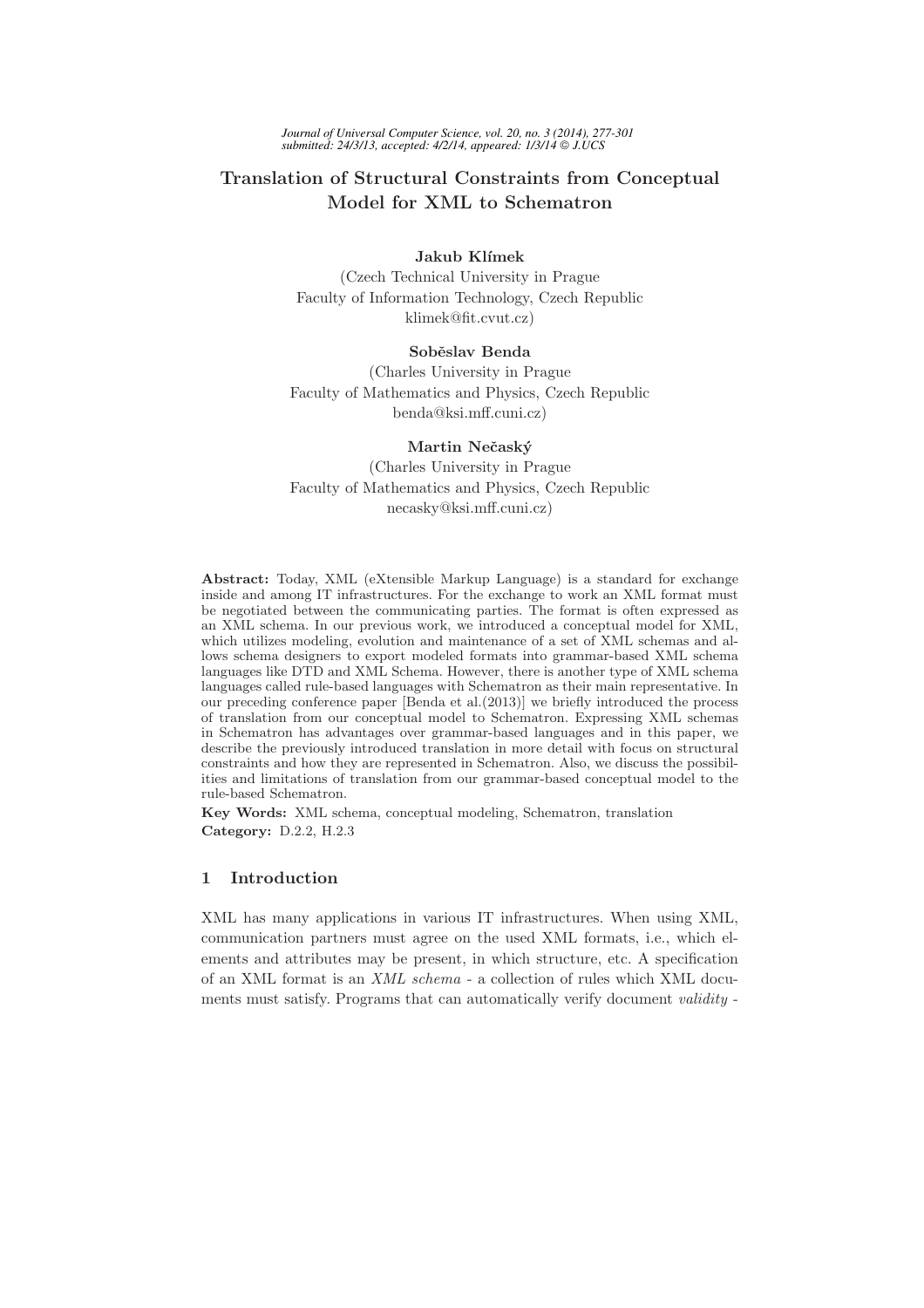# Translation of Structural Constraints from Conceptual Model for XML to Schematron

### Jakub Klímek

(Czech Technical University in Prague Faculty of Information Technology, Czech Republic klimek@fit.cvut.cz)

### Soběslav Benda

(Charles University in Prague Faculty of Mathematics and Physics, Czech Republic benda@ksi.mff.cuni.cz)

### Martin Nečaský

(Charles University in Prague Faculty of Mathematics and Physics, Czech Republic necasky@ksi.mff.cuni.cz)

Abstract: Today, XML (eXtensible Markup Language) is a standard for exchange inside and among IT infrastructures. For the exchange to work an XML format must be negotiated between the communicating parties. The format is often expressed as an XML schema. In our previous work, we introduced a conceptual model for XML, which utilizes modeling, evolution and maintenance of a set of XML schemas and allows schema designers to export modeled formats into grammar-based XML schema languages like DTD and XML Schema. However, there is another type of XML schema languages called rule-based languages with Schematron as their main representative. In our preceding conference paper [Benda et al.(2013)] we briefly introduced the process of translation from our conceptual model to Schematron. Expressing XML schemas in Schematron has advantages over grammar-based languages and in this paper, we describe the previously introduced translation in more detail with focus on structural constraints and how they are represented in Schematron. Also, we discuss the possibilities and limitations of translation from our grammar-based conceptual model to the rule-based Schematron.

Key Words: XML schema, conceptual modeling, Schematron, translation Category: D.2.2, H.2.3

### 1 Introduction

XML has many applications in various IT infrastructures. When using XML, communication partners must agree on the used XML formats, i.e., which elements and attributes may be present, in which structure, etc. A specification of an XML format is an XML schema - a collection of rules which XML documents must satisfy. Programs that can automatically verify document validity -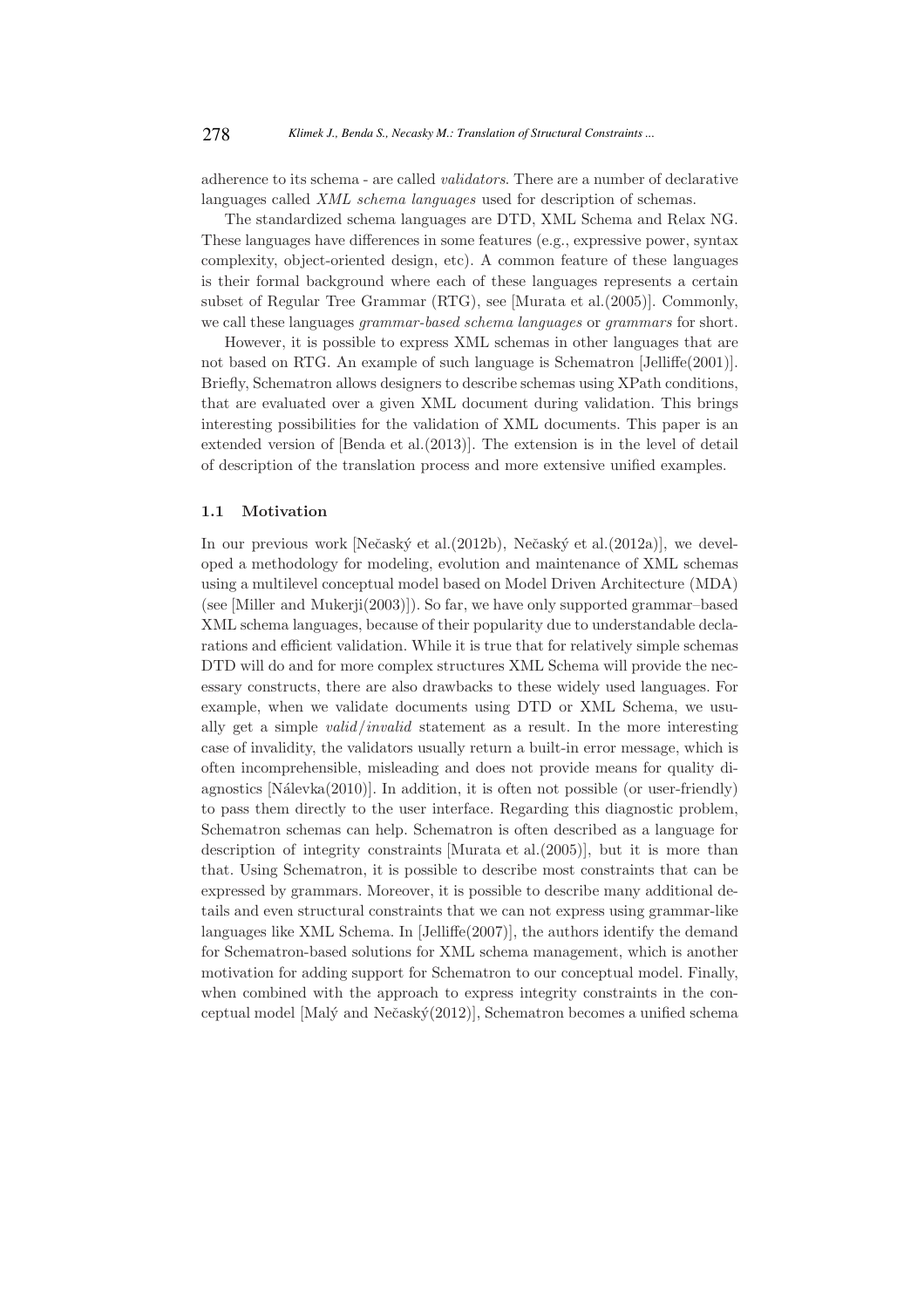adherence to its schema - are called validators. There are a number of declarative languages called *XML schema languages* used for description of schemas.

The standardized schema languages are DTD, XML Schema and Relax NG. These languages have differences in some features (e.g., expressive power, syntax complexity, object-oriented design, etc). A common feature of these languages is their formal background where each of these languages represents a certain subset of Regular Tree Grammar (RTG), see [Murata et al.(2005)]. Commonly, we call these languages *grammar-based schema languages* or *grammars* for short.

However, it is possible to express XML schemas in other languages that are not based on RTG. An example of such language is Schematron [Jelliffe(2001)]. Briefly, Schematron allows designers to describe schemas using XPath conditions, that are evaluated over a given XML document during validation. This brings interesting possibilities for the validation of XML documents. This paper is an extended version of [Benda et al.(2013)]. The extension is in the level of detail of description of the translation process and more extensive unified examples.

#### 1.1 Motivation

In our previous work [Nečaský et al.(2012b), Nečaský et al.(2012a)], we developed a methodology for modeling, evolution and maintenance of XML schemas using a multilevel conceptual model based on Model Driven Architecture (MDA) (see [Miller and Mukerji(2003)]). So far, we have only supported grammar–based XML schema languages, because of their popularity due to understandable declarations and efficient validation. While it is true that for relatively simple schemas DTD will do and for more complex structures XML Schema will provide the necessary constructs, there are also drawbacks to these widely used languages. For example, when we validate documents using DTD or XML Schema, we usually get a simple *valid invalid* statement as a result. In the more interesting case of invalidity, the validators usually return a built-in error message, which is often incomprehensible, misleading and does not provide means for quality diagnostics  $[N\text{álevka}(2010)]$ . In addition, it is often not possible (or user-friendly) to pass them directly to the user interface. Regarding this diagnostic problem, Schematron schemas can help. Schematron is often described as a language for description of integrity constraints [Murata et al.(2005)], but it is more than that. Using Schematron, it is possible to describe most constraints that can be expressed by grammars. Moreover, it is possible to describe many additional details and even structural constraints that we can not express using grammar-like languages like XML Schema. In [Jelliffe(2007)], the authors identify the demand for Schematron-based solutions for XML schema management, which is another motivation for adding support for Schematron to our conceptual model. Finally, when combined with the approach to express integrity constraints in the conceptual model [Malý and Nečaský(2012)], Schematron becomes a unified schema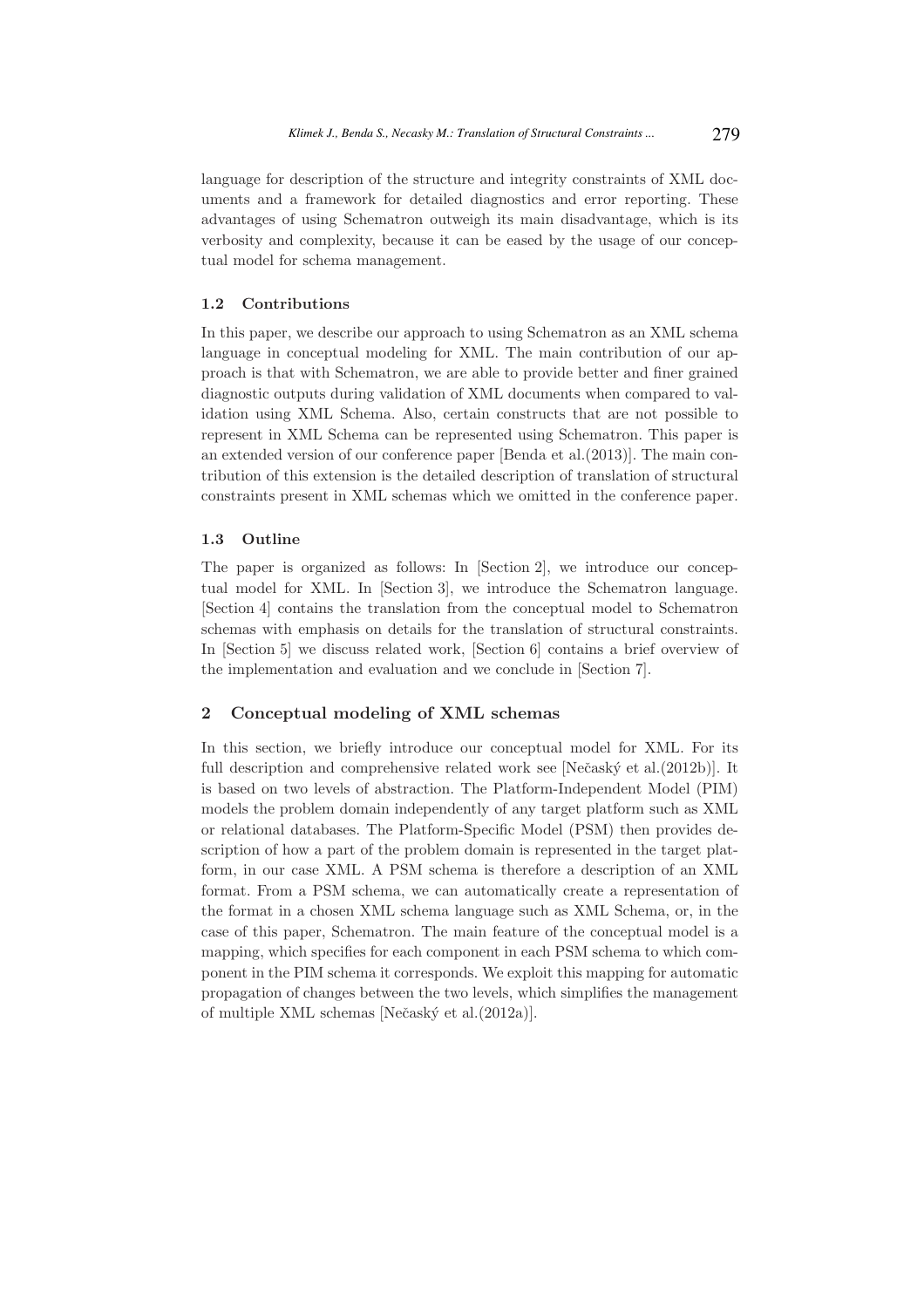language for description of the structure and integrity constraints of XML documents and a framework for detailed diagnostics and error reporting. These advantages of using Schematron outweigh its main disadvantage, which is its verbosity and complexity, because it can be eased by the usage of our conceptual model for schema management.

### 1.2 Contributions

In this paper, we describe our approach to using Schematron as an XML schema language in conceptual modeling for XML. The main contribution of our approach is that with Schematron, we are able to provide better and finer grained diagnostic outputs during validation of XML documents when compared to validation using XML Schema. Also, certain constructs that are not possible to represent in XML Schema can be represented using Schematron. This paper is an extended version of our conference paper [Benda et al.(2013)]. The main contribution of this extension is the detailed description of translation of structural constraints present in XML schemas which we omitted in the conference paper.

### 1.3 Outline

The paper is organized as follows: In [Section 2], we introduce our conceptual model for XML. In [Section 3], we introduce the Schematron language. [Section 4] contains the translation from the conceptual model to Schematron schemas with emphasis on details for the translation of structural constraints. In [Section 5] we discuss related work, [Section 6] contains a brief overview of the implementation and evaluation and we conclude in [Section 7].

### 2 Conceptual modeling of XML schemas

In this section, we briefly introduce our conceptual model for XML. For its full description and comprehensive related work see [Nečaský et al.(2012b)]. It is based on two levels of abstraction. The Platform-Independent Model (PIM) models the problem domain independently of any target platform such as XML or relational databases. The Platform-Specific Model (PSM) then provides description of how a part of the problem domain is represented in the target platform, in our case XML. A PSM schema is therefore a description of an XML format. From a PSM schema, we can automatically create a representation of the format in a chosen XML schema language such as XML Schema, or, in the case of this paper, Schematron. The main feature of the conceptual model is a mapping, which specifies for each component in each PSM schema to which component in the PIM schema it corresponds. We exploit this mapping for automatic propagation of changes between the two levels, which simplifies the management of multiple XML schemas [Nečaský et al.(2012a)].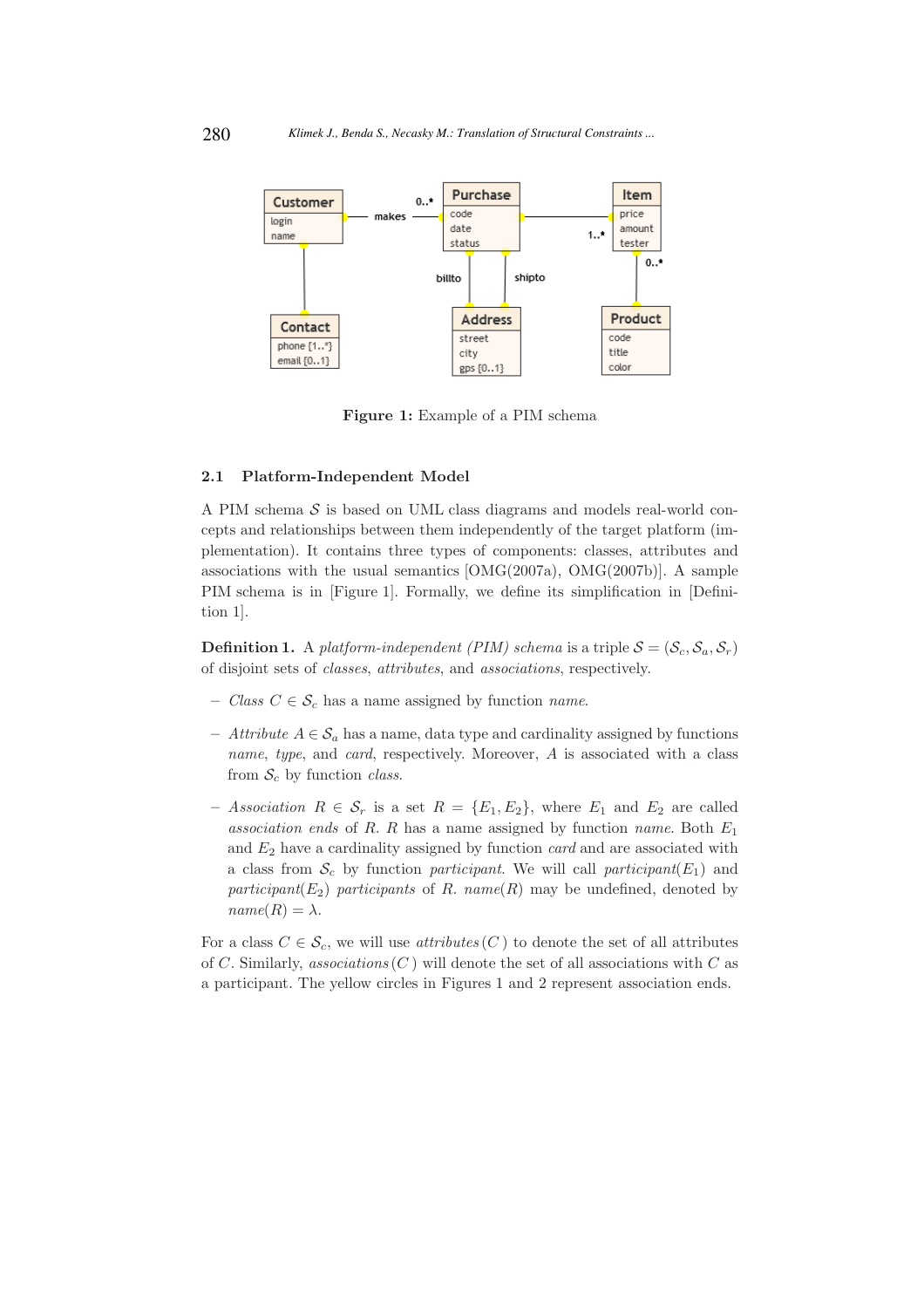

Figure 1: Example of a PIM schema

#### 2.1 Platform-Independent Model

A PIM schema  $S$  is based on UML class diagrams and models real-world concepts and relationships between them independently of the target platform (implementation). It contains three types of components: classes, attributes and associations with the usual semantics [OMG(2007a), OMG(2007b)]. A sample PIM schema is in [Figure 1]. Formally, we define its simplification in [Definition 1].

**Definition 1.** A platform-independent (PIM) schema is a triple  $S = (S_c, S_a, S_r)$ of disjoint sets of classes, attributes, and associations, respectively.

- Class  $C \in \mathcal{S}_c$  has a name assigned by function *name*.
- Attribute  $A \in \mathcal{S}_a$  has a name, data type and cardinality assigned by functions name, type, and card, respectively. Moreover, A is associated with a class from  $S_c$  by function *class.*
- Association  $R \in \mathcal{S}_r$  is a set  $R = \{E_1, E_2\}$ , where  $E_1$  and  $E_2$  are called association ends of R. R has a name assigned by function name. Both  $E_1$ and  $E_2$  have a cardinality assigned by function *card* and are associated with a class from  $\mathcal{S}_c$  by function participant. We will call participant( $E_1$ ) and participant( $E_2$ ) participants of R. name(R) may be undefined, denoted by  $name(R) = \lambda$ .

For a class  $C \in \mathcal{S}_c$ , we will use *attributes*  $(C)$  to denote the set of all attributes of C. Similarly, associations  $(C)$  will denote the set of all associations with C as a participant. The yellow circles in Figures 1 and 2 represent association ends.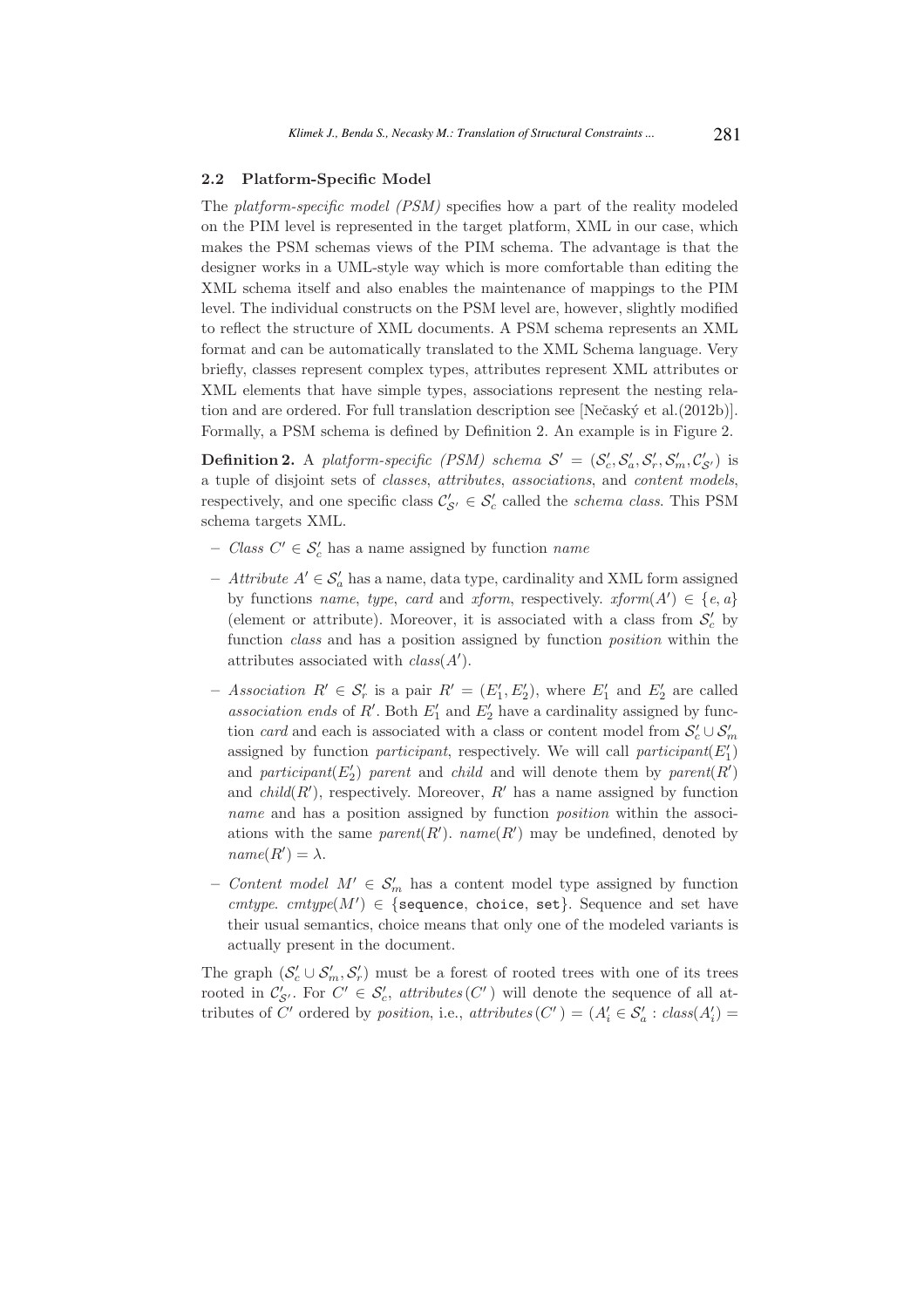#### 2.2 Platform-Specific Model

The platform-specific model (PSM) specifies how a part of the reality modeled on the PIM level is represented in the target platform, XML in our case, which makes the PSM schemas views of the PIM schema. The advantage is that the designer works in a UML-style way which is more comfortable than editing the XML schema itself and also enables the maintenance of mappings to the PIM level. The individual constructs on the PSM level are, however, slightly modified to reflect the structure of XML documents. A PSM schema represents an XML format and can be automatically translated to the XML Schema language. Very briefly, classes represent complex types, attributes represent XML attributes or XML elements that have simple types, associations represent the nesting relation and are ordered. For full translation description see [Nečaský et al.(2012b)]. Formally, a PSM schema is defined by Definition 2. An example is in Figure 2.

**Definition 2.** A platform-specific (PSM) schema  $S' = (S'_c, S'_a, S'_r, S'_m, C'_{S'})$  is a tuple of disjoint sets of classes, attributes, associations, and content models, respectively, and one specific class  $\mathcal{C}'_{\mathcal{S}'} \in \mathcal{S}'_c$  called the *schema class*. This PSM schema targets XML.

- Class  $C' \in \mathcal{S}'_c$  has a name assigned by function *name*
- − Attribute  $A' \in \mathcal{S}'_a$  has a name, data type, cardinality and XML form assigned by functions *name*, *type*, *card* and *xform*, respectively. *xform*( $A'$ )  $\in \{e, a\}$ (element or attribute). Moreover, it is associated with a class from  $S_c'$  by function *class* and has a position assigned by function *position* within the attributes associated with  $class(A')$ .
- Association  $R' \in \mathcal{S}'_r$  is a pair  $R' = (E'_1, E'_2)$ , where  $E'_1$  and  $E'_2$  are called association ends of R'. Both  $E'_1$  and  $E'_2$  have a cardinality assigned by function *card* and each is associated with a class or content model from  $\mathcal{S}'_c \cup \mathcal{S}'_m$ assigned by function participant, respectively. We will call participant( $E'_1$ ) and participant( $E'_2$ ) parent and child and will denote them by parent( $R'$ ) and  $child(R')$ , respectively. Moreover,  $R'$  has a name assigned by function name and has a position assigned by function *position* within the associations with the same  $parent(R')$ .  $name(R')$  may be undefined, denoted by  $name(R') = \lambda$ .
- *Content model M'* ∈  $S'_m$  has a content model type assigned by function cmtype. cmtype( $M'$ )  $\in$  {sequence, choice, set}. Sequence and set have their usual semantics, choice means that only one of the modeled variants is actually present in the document.

The graph  $(S'_c \cup S'_m, S'_r)$  must be a forest of rooted trees with one of its trees rooted in  $\mathcal{C}'_{S'}$ . For  $C' \in \mathcal{S}'_c$ , attributes  $(C')$  will denote the sequence of all attributes of C' ordered by *position*, i.e.,  $attributes(C') = (A'_i \in S'_a : class(A'_i) =$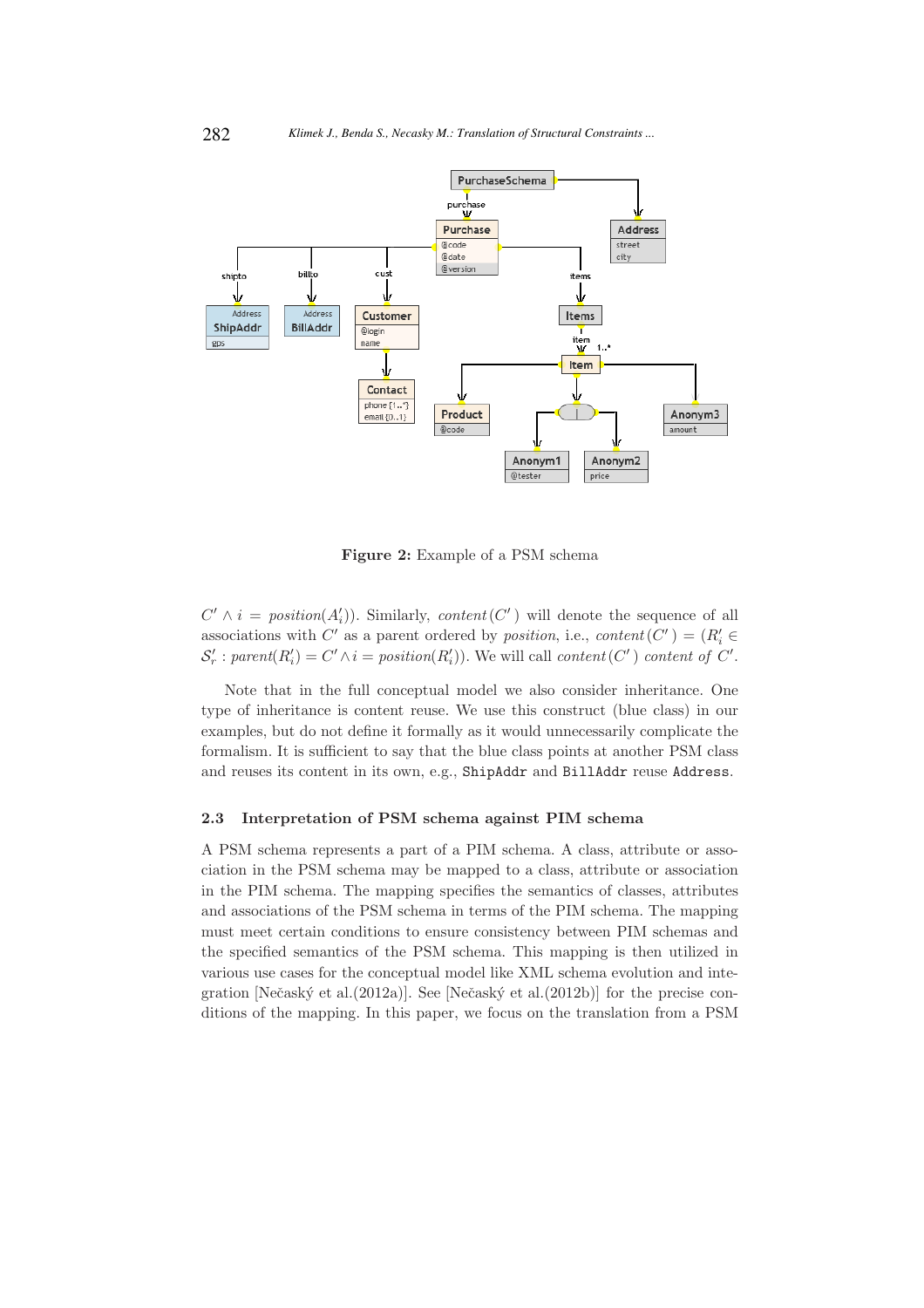

Figure 2: Example of a PSM schema

 $C' \wedge i = position(A'_i)$ . Similarly, content(C') will denote the sequence of all associations with C' as a parent ordered by *position*, i.e.,  $content(C') = (R'_i \in$  $S'_r : parent(R'_i) = C' \wedge i = position(R'_i)$ . We will call content(C') content of C'.

Note that in the full conceptual model we also consider inheritance. One type of inheritance is content reuse. We use this construct (blue class) in our examples, but do not define it formally as it would unnecessarily complicate the formalism. It is sufficient to say that the blue class points at another PSM class and reuses its content in its own, e.g., ShipAddr and BillAddr reuse Address.

#### 2.3 Interpretation of PSM schema against PIM schema

A PSM schema represents a part of a PIM schema. A class, attribute or association in the PSM schema may be mapped to a class, attribute or association in the PIM schema. The mapping specifies the semantics of classes, attributes and associations of the PSM schema in terms of the PIM schema. The mapping must meet certain conditions to ensure consistency between PIM schemas and the specified semantics of the PSM schema. This mapping is then utilized in various use cases for the conceptual model like XML schema evolution and integration [Nečaský et al.(2012a)]. See [Nečaský et al.(2012b)] for the precise conditions of the mapping. In this paper, we focus on the translation from a PSM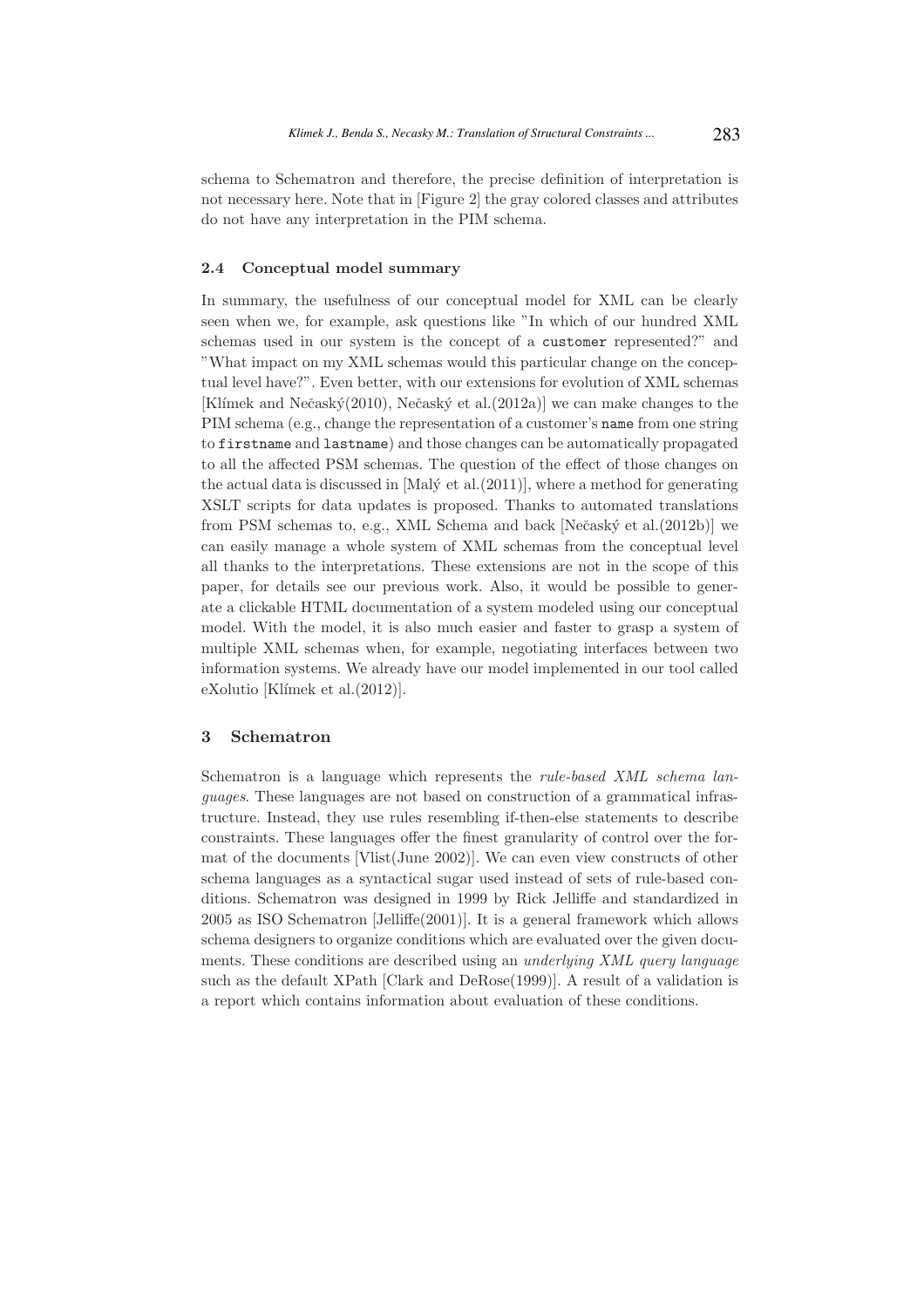schema to Schematron and therefore, the precise definition of interpretation is not necessary here. Note that in [Figure 2] the gray colored classes and attributes do not have any interpretation in the PIM schema.

### 2.4 Conceptual model summary

In summary, the usefulness of our conceptual model for XML can be clearly seen when we, for example, ask questions like "In which of our hundred XML schemas used in our system is the concept of a customer represented?" and "What impact on my XML schemas would this particular change on the conceptual level have?". Even better, with our extensions for evolution of XML schemas [Klímek and Nečaský(2010), Nečaský et al.(2012a)] we can make changes to the PIM schema (e.g., change the representation of a customer's name from one string to firstname and lastname) and those changes can be automatically propagated to all the affected PSM schemas. The question of the effect of those changes on the actual data is discussed in [Mal $\acute{\text{y}}$  et al.(2011)], where a method for generating XSLT scripts for data updates is proposed. Thanks to automated translations from PSM schemas to, e.g., XML Schema and back [Nečaský et al.(2012b)] we can easily manage a whole system of XML schemas from the conceptual level all thanks to the interpretations. These extensions are not in the scope of this paper, for details see our previous work. Also, it would be possible to generate a clickable HTML documentation of a system modeled using our conceptual model. With the model, it is also much easier and faster to grasp a system of multiple XML schemas when, for example, negotiating interfaces between two information systems. We already have our model implemented in our tool called  $eXolution$  [Klímek et al. $(2012)$ ].

### 3 Schematron

Schematron is a language which represents the rule-based XML schema languages. These languages are not based on construction of a grammatical infrastructure. Instead, they use rules resembling if-then-else statements to describe constraints. These languages offer the finest granularity of control over the format of the documents [Vlist(June 2002)]. We can even view constructs of other schema languages as a syntactical sugar used instead of sets of rule-based conditions. Schematron was designed in 1999 by Rick Jelliffe and standardized in 2005 as ISO Schematron [Jelliffe(2001)]. It is a general framework which allows schema designers to organize conditions which are evaluated over the given documents. These conditions are described using an underlying XML query language such as the default XPath [Clark and DeRose(1999)]. A result of a validation is a report which contains information about evaluation of these conditions.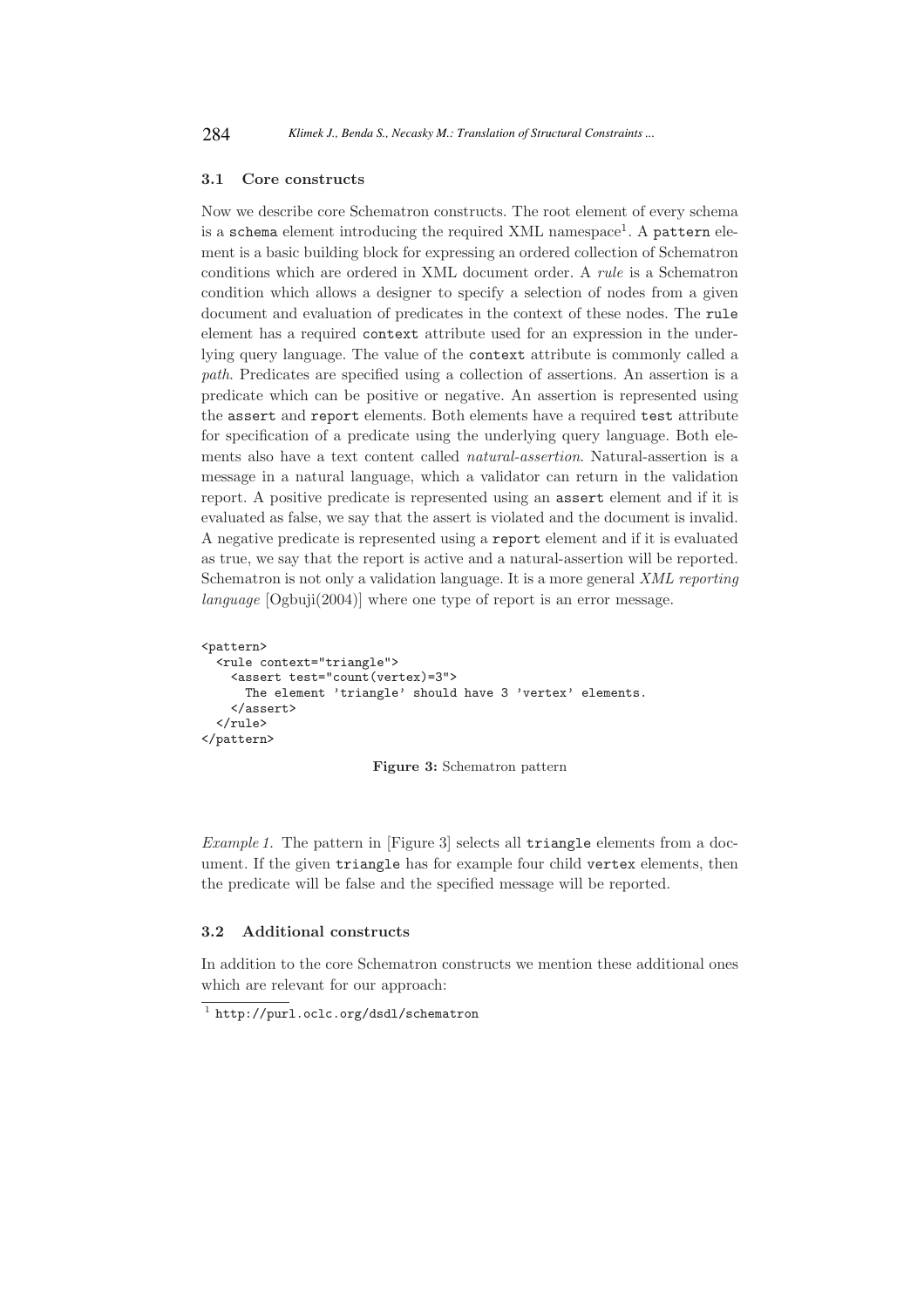### 3.1 Core constructs

Now we describe core Schematron constructs. The root element of every schema is a schema element introducing the required XML namespace<sup>1</sup>. A pattern element is a basic building block for expressing an ordered collection of Schematron conditions which are ordered in XML document order. A rule is a Schematron condition which allows a designer to specify a selection of nodes from a given document and evaluation of predicates in the context of these nodes. The rule element has a required context attribute used for an expression in the underlying query language. The value of the context attribute is commonly called a path. Predicates are specified using a collection of assertions. An assertion is a predicate which can be positive or negative. An assertion is represented using the assert and report elements. Both elements have a required test attribute for specification of a predicate using the underlying query language. Both elements also have a text content called natural-assertion. Natural-assertion is a message in a natural language, which a validator can return in the validation report. A positive predicate is represented using an assert element and if it is evaluated as false, we say that the assert is violated and the document is invalid. A negative predicate is represented using a report element and if it is evaluated as true, we say that the report is active and a natural-assertion will be reported. Schematron is not only a validation language. It is a more general XML reporting language [Ogbuji(2004)] where one type of report is an error message.

```
<pattern>
  <rule context="triangle">
    <assert test="count(vertex)=3">
      The element 'triangle' should have 3 'vertex' elements.
    </assert>
  \langlerule\rangle</pattern>
```
Figure 3: Schematron pattern

Example 1. The pattern in [Figure 3] selects all triangle elements from a document. If the given triangle has for example four child vertex elements, then the predicate will be false and the specified message will be reported.

### 3.2 Additional constructs

In addition to the core Schematron constructs we mention these additional ones which are relevant for our approach:

<sup>1</sup> http://purl.oclc.org/dsdl/schematron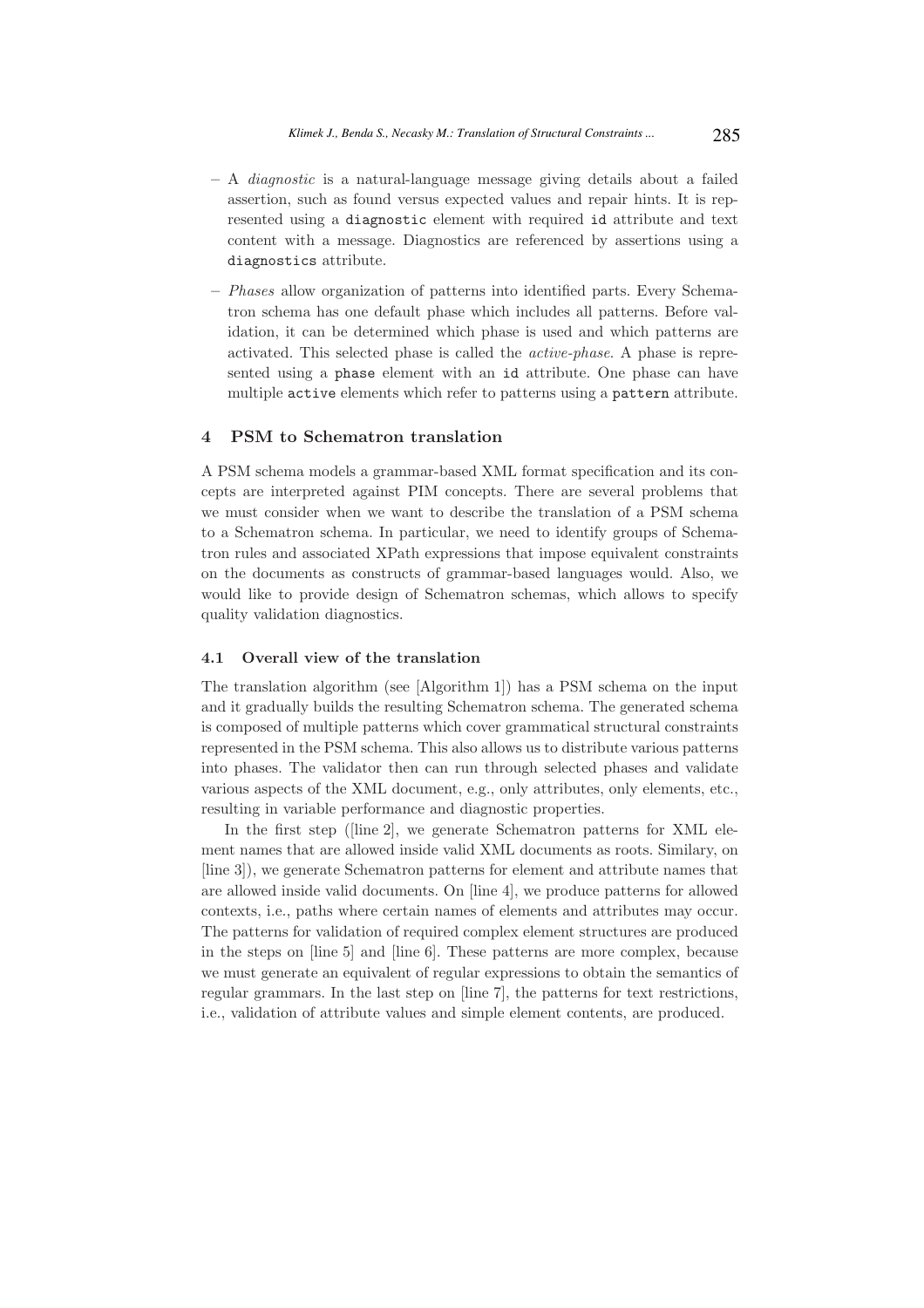- A diagnostic is a natural-language message giving details about a failed assertion, such as found versus expected values and repair hints. It is represented using a diagnostic element with required id attribute and text content with a message. Diagnostics are referenced by assertions using a diagnostics attribute.
- Phases allow organization of patterns into identified parts. Every Schematron schema has one default phase which includes all patterns. Before validation, it can be determined which phase is used and which patterns are activated. This selected phase is called the active-phase. A phase is represented using a phase element with an id attribute. One phase can have multiple active elements which refer to patterns using a pattern attribute.

### 4 PSM to Schematron translation

A PSM schema models a grammar-based XML format specification and its concepts are interpreted against PIM concepts. There are several problems that we must consider when we want to describe the translation of a PSM schema to a Schematron schema. In particular, we need to identify groups of Schematron rules and associated XPath expressions that impose equivalent constraints on the documents as constructs of grammar-based languages would. Also, we would like to provide design of Schematron schemas, which allows to specify quality validation diagnostics.

### 4.1 Overall view of the translation

The translation algorithm (see [Algorithm 1]) has a PSM schema on the input and it gradually builds the resulting Schematron schema. The generated schema is composed of multiple patterns which cover grammatical structural constraints represented in the PSM schema. This also allows us to distribute various patterns into phases. The validator then can run through selected phases and validate various aspects of the XML document, e.g., only attributes, only elements, etc., resulting in variable performance and diagnostic properties.

In the first step ([line 2], we generate Schematron patterns for XML element names that are allowed inside valid XML documents as roots. Similary, on [line 3]), we generate Schematron patterns for element and attribute names that are allowed inside valid documents. On [line 4], we produce patterns for allowed contexts, i.e., paths where certain names of elements and attributes may occur. The patterns for validation of required complex element structures are produced in the steps on [line 5] and [line 6]. These patterns are more complex, because we must generate an equivalent of regular expressions to obtain the semantics of regular grammars. In the last step on [line 7], the patterns for text restrictions, i.e., validation of attribute values and simple element contents, are produced.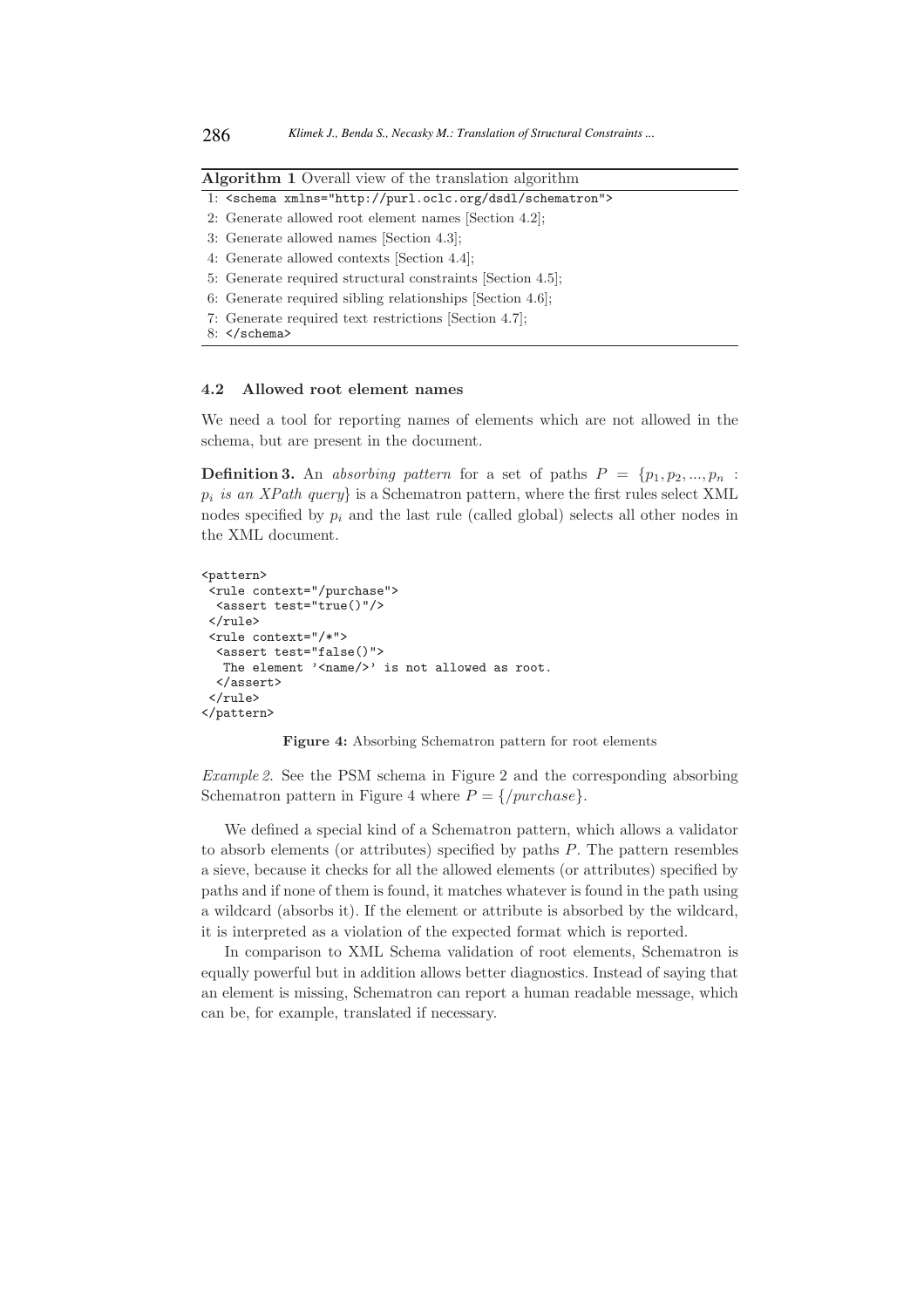| <b>Algorithm 1</b> Overall view of the translation algorithm |  |  |  |  |  |
|--------------------------------------------------------------|--|--|--|--|--|
|--------------------------------------------------------------|--|--|--|--|--|

```
1: <schema xmlns="http://purl.oclc.org/dsdl/schematron">
```
- 2: Generate allowed root element names [Section 4.2];
- 3: Generate allowed names [Section 4.3];
- 4: Generate allowed contexts [Section 4.4];
- 5: Generate required structural constraints [Section 4.5];
- 6: Generate required sibling relationships [Section 4.6];
- 7: Generate required text restrictions [Section 4.7];
- 8: </schema>

### 4.2 Allowed root element names

We need a tool for reporting names of elements which are not allowed in the schema, but are present in the document.

**Definition 3.** An absorbing pattern for a set of paths  $P = \{p_1, p_2, ..., p_n\}$ .  $p_i$  is an XPath query} is a Schematron pattern, where the first rules select XML nodes specified by  $p_i$  and the last rule (called global) selects all other nodes in the XML document.

```
<pattern>
 <rule context="/purchase">
 <assert test="true()"/>
 \langlerule\rangle<rule context="/*">
  <assert test="false()">
   The element '<name/>' is not allowed as root.
  </assert>
 \langlerule>
</pattern>
```
Figure 4: Absorbing Schematron pattern for root elements

Example 2. See the PSM schema in Figure 2 and the corresponding absorbing Schematron pattern in Figure 4 where  $P = \{/purebase\}.$ 

We defined a special kind of a Schematron pattern, which allows a validator to absorb elements (or attributes) specified by paths P. The pattern resembles a sieve, because it checks for all the allowed elements (or attributes) specified by paths and if none of them is found, it matches whatever is found in the path using a wildcard (absorbs it). If the element or attribute is absorbed by the wildcard, it is interpreted as a violation of the expected format which is reported.

In comparison to XML Schema validation of root elements, Schematron is equally powerful but in addition allows better diagnostics. Instead of saying that an element is missing, Schematron can report a human readable message, which can be, for example, translated if necessary.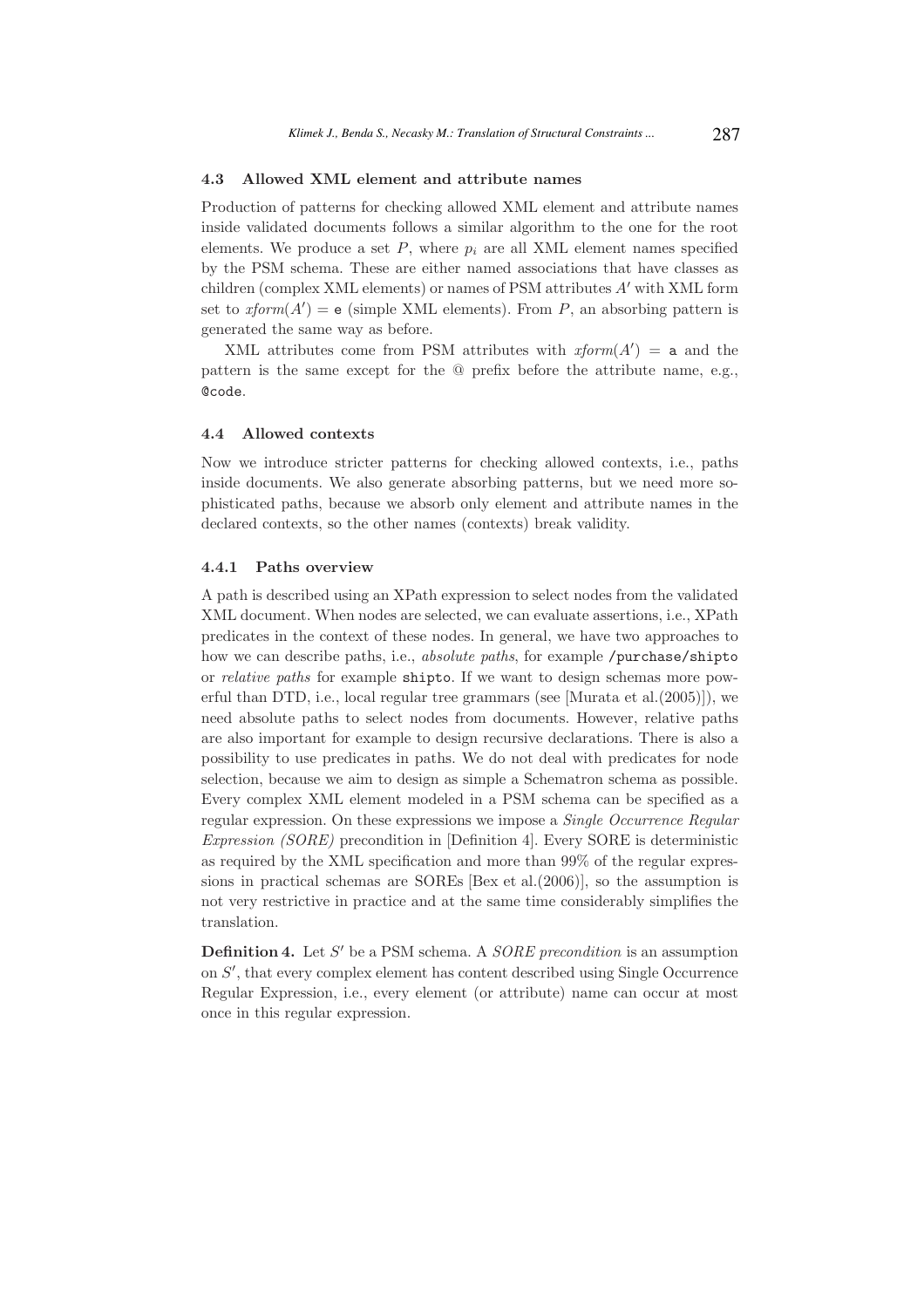### 4.3 Allowed XML element and attribute names

Production of patterns for checking allowed XML element and attribute names inside validated documents follows a similar algorithm to the one for the root elements. We produce a set  $P$ , where  $p_i$  are all XML element names specified by the PSM schema. These are either named associations that have classes as children (complex XML elements) or names of PSM attributes A′ with XML form set to  $xform(A') = e$  (simple XML elements). From P, an absorbing pattern is generated the same way as before.

XML attributes come from PSM attributes with  $xform(A') = a$  and the pattern is the same except for the @ prefix before the attribute name, e.g., @code.

### 4.4 Allowed contexts

Now we introduce stricter patterns for checking allowed contexts, i.e., paths inside documents. We also generate absorbing patterns, but we need more sophisticated paths, because we absorb only element and attribute names in the declared contexts, so the other names (contexts) break validity.

#### 4.4.1 Paths overview

A path is described using an XPath expression to select nodes from the validated XML document. When nodes are selected, we can evaluate assertions, i.e., XPath predicates in the context of these nodes. In general, we have two approaches to how we can describe paths, i.e., *absolute paths*, for example /purchase/shipto or relative paths for example shipto. If we want to design schemas more powerful than DTD, i.e., local regular tree grammars (see [Murata et al.(2005)]), we need absolute paths to select nodes from documents. However, relative paths are also important for example to design recursive declarations. There is also a possibility to use predicates in paths. We do not deal with predicates for node selection, because we aim to design as simple a Schematron schema as possible. Every complex XML element modeled in a PSM schema can be specified as a regular expression. On these expressions we impose a Single Occurrence Regular Expression (SORE) precondition in [Definition 4]. Every SORE is deterministic as required by the XML specification and more than 99% of the regular expressions in practical schemas are SOREs [Bex et al.(2006)], so the assumption is not very restrictive in practice and at the same time considerably simplifies the translation.

**Definition 4.** Let  $S'$  be a PSM schema. A  $SORE$  precondition is an assumption on S', that every complex element has content described using Single Occurrence Regular Expression, i.e., every element (or attribute) name can occur at most once in this regular expression.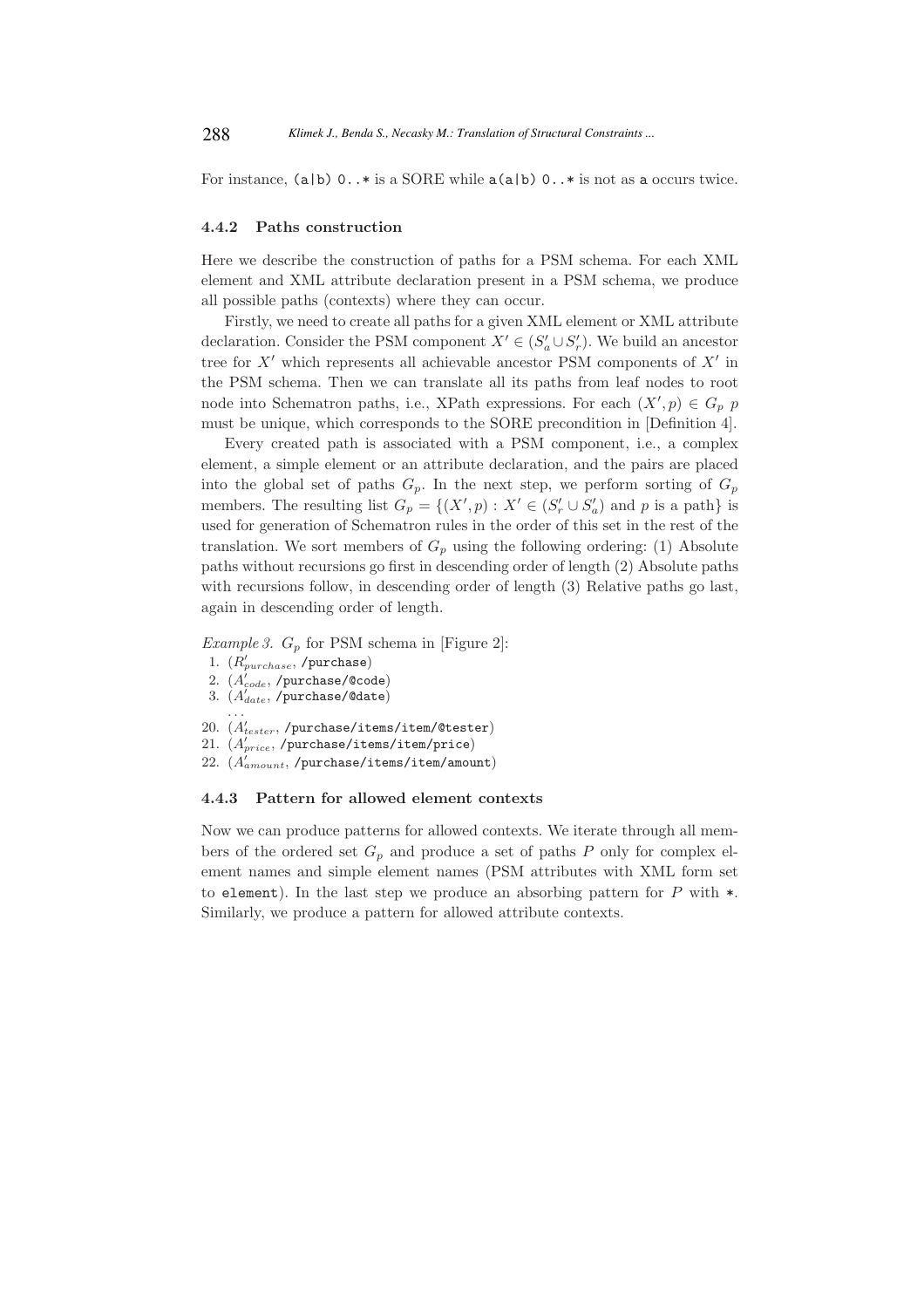For instance,  $(a|b)$  0..\* is a SORE while  $a(a|b)$  0..\* is not as a occurs twice.

#### 4.4.2 Paths construction

Here we describe the construction of paths for a PSM schema. For each XML element and XML attribute declaration present in a PSM schema, we produce all possible paths (contexts) where they can occur.

Firstly, we need to create all paths for a given XML element or XML attribute declaration. Consider the PSM component  $X' \in (S'_a \cup S'_r)$ . We build an ancestor tree for  $X'$  which represents all achievable ancestor PSM components of  $X'$  in the PSM schema. Then we can translate all its paths from leaf nodes to root node into Schematron paths, i.e., XPath expressions. For each  $(X', p) \in G_p$  p must be unique, which corresponds to the SORE precondition in [Definition 4].

Every created path is associated with a PSM component, i.e., a complex element, a simple element or an attribute declaration, and the pairs are placed into the global set of paths  $G_p$ . In the next step, we perform sorting of  $G_p$ members. The resulting list  $G_p = \{(X', p) : X' \in (S'_r \cup S'_a) \text{ and } p \text{ is a path}\}\$ is used for generation of Schematron rules in the order of this set in the rest of the translation. We sort members of  $G_p$  using the following ordering: (1) Absolute paths without recursions go first in descending order of length (2) Absolute paths with recursions follow, in descending order of length (3) Relative paths go last, again in descending order of length.

*Example 3.*  $G_p$  for PSM schema in [Figure 2]:

- 1.  $(R'_{purehase}$ , /purchase)
- 2.  $(A_{code}^{\prime}, \text{/purchase/@code})$
- 3.  $(A_{date}^{\prime\prime},$  /purchase/@date)
- . . .
- $20. (A'_{\text{tester}},$ /purchase/items/item/@tester)
- 21.  $(A'_{price},$ /purchase/items/item/price)
- 22.  $(A^{'}_{amount}, /$ purchase/items/item/amount)

#### 4.4.3 Pattern for allowed element contexts

Now we can produce patterns for allowed contexts. We iterate through all members of the ordered set  $G_p$  and produce a set of paths P only for complex element names and simple element names (PSM attributes with XML form set to element). In the last step we produce an absorbing pattern for  $P$  with  $\ast$ . Similarly, we produce a pattern for allowed attribute contexts.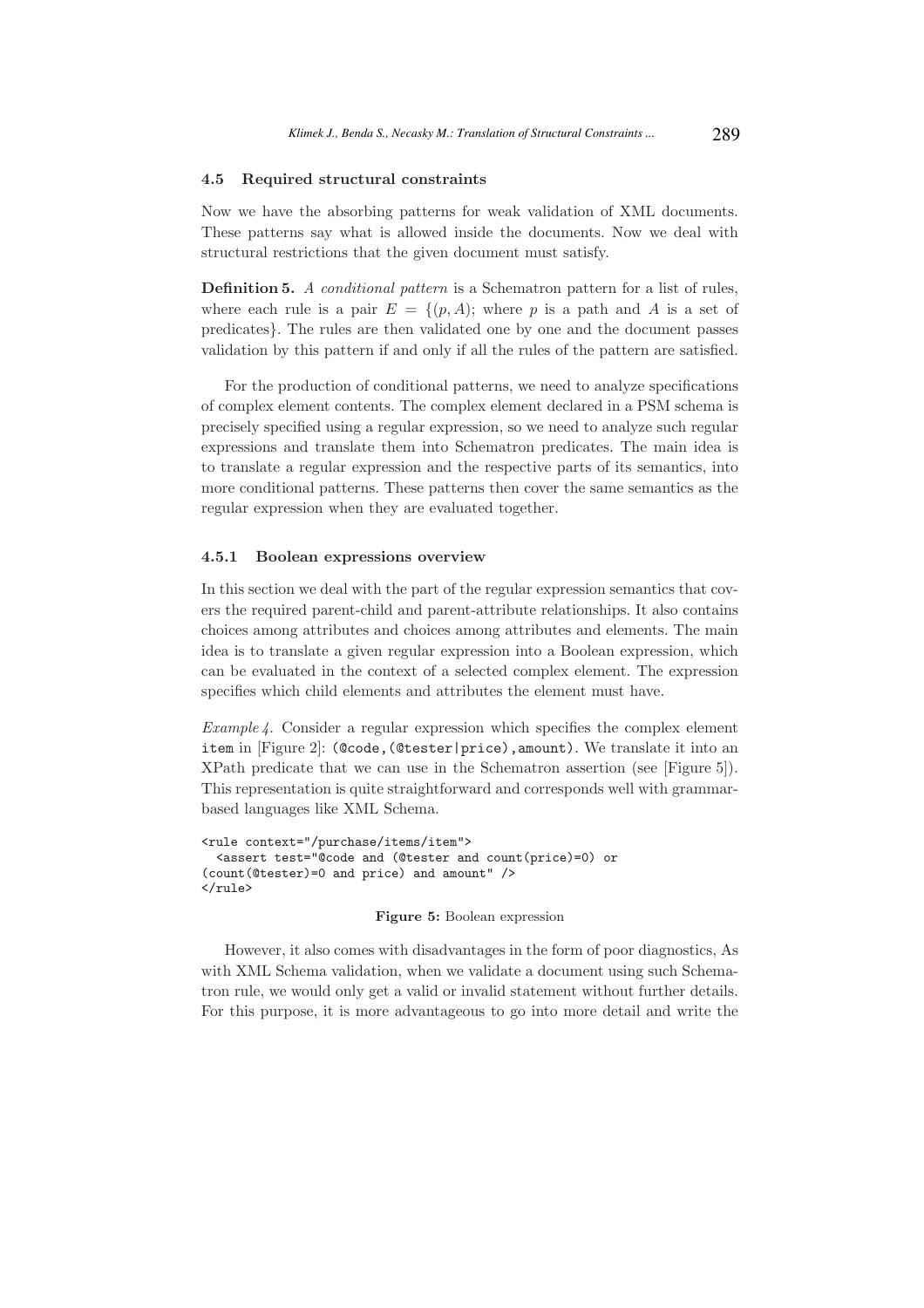#### 4.5 Required structural constraints

Now we have the absorbing patterns for weak validation of XML documents. These patterns say what is allowed inside the documents. Now we deal with structural restrictions that the given document must satisfy.

Definition 5. A conditional pattern is a Schematron pattern for a list of rules, where each rule is a pair  $E = \{(p, A);$  where p is a path and A is a set of predicates}. The rules are then validated one by one and the document passes validation by this pattern if and only if all the rules of the pattern are satisfied.

For the production of conditional patterns, we need to analyze specifications of complex element contents. The complex element declared in a PSM schema is precisely specified using a regular expression, so we need to analyze such regular expressions and translate them into Schematron predicates. The main idea is to translate a regular expression and the respective parts of its semantics, into more conditional patterns. These patterns then cover the same semantics as the regular expression when they are evaluated together.

#### 4.5.1 Boolean expressions overview

In this section we deal with the part of the regular expression semantics that covers the required parent-child and parent-attribute relationships. It also contains choices among attributes and choices among attributes and elements. The main idea is to translate a given regular expression into a Boolean expression, which can be evaluated in the context of a selected complex element. The expression specifies which child elements and attributes the element must have.

Example  $\ell$ . Consider a regular expression which specifies the complex element item in [Figure 2]: (@code,(@tester|price),amount). We translate it into an XPath predicate that we can use in the Schematron assertion (see [Figure 5]). This representation is quite straightforward and corresponds well with grammarbased languages like XML Schema.

```
<rule context="/purchase/items/item">
 <assert test="@code and (@tester and count(price)=0) or
(count(@tester)=0 and price) and amount" />
</rule>
```
#### Figure 5: Boolean expression

However, it also comes with disadvantages in the form of poor diagnostics, As with XML Schema validation, when we validate a document using such Schematron rule, we would only get a valid or invalid statement without further details. For this purpose, it is more advantageous to go into more detail and write the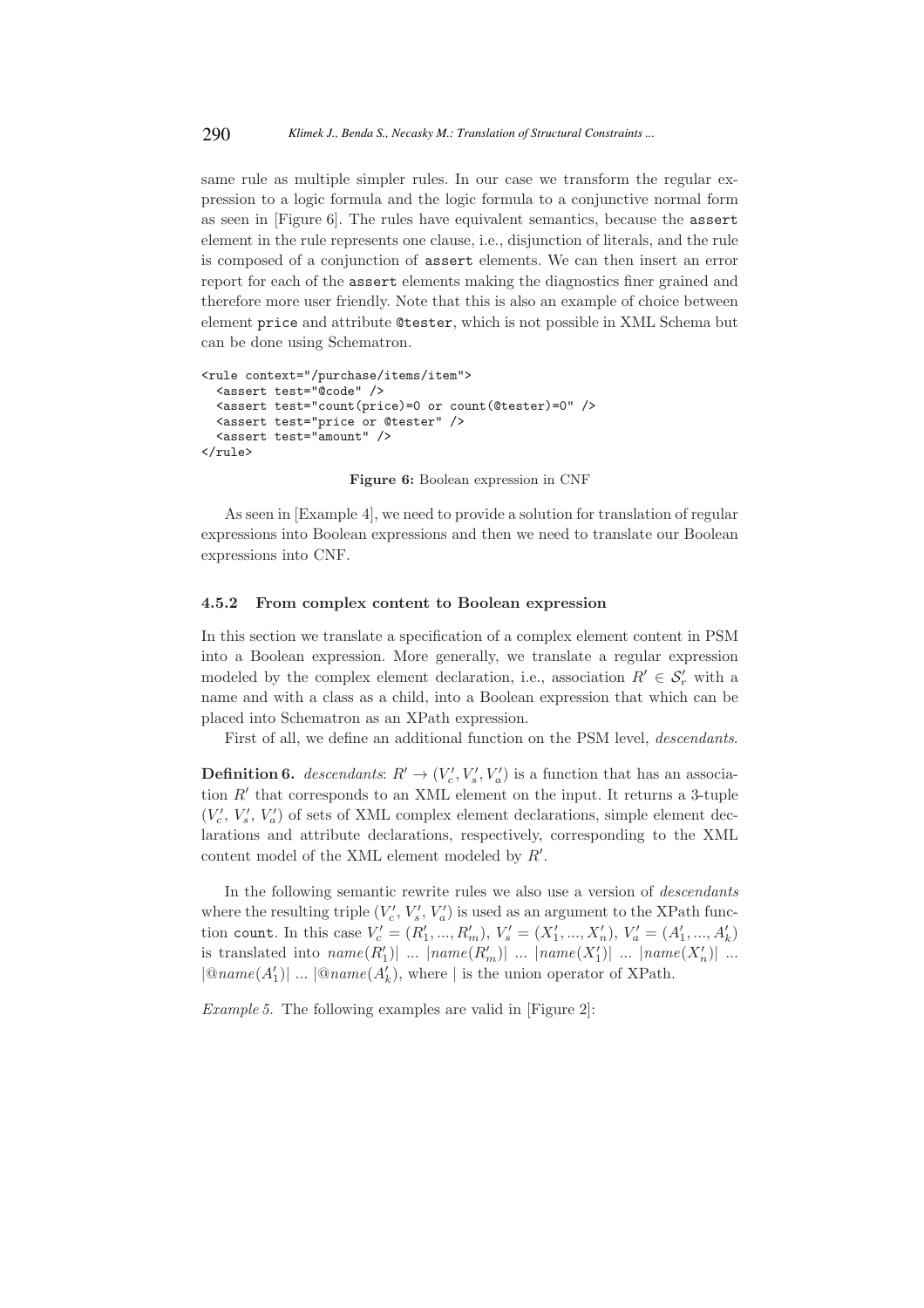same rule as multiple simpler rules. In our case we transform the regular expression to a logic formula and the logic formula to a conjunctive normal form as seen in [Figure 6]. The rules have equivalent semantics, because the assert element in the rule represents one clause, i.e., disjunction of literals, and the rule is composed of a conjunction of assert elements. We can then insert an error report for each of the assert elements making the diagnostics finer grained and therefore more user friendly. Note that this is also an example of choice between element price and attribute @tester, which is not possible in XML Schema but can be done using Schematron.

```
<rule context="/purchase/items/item">
  <assert test="@code" />
  <assert test="count(price)=0 or count(@tester)=0" />
  <assert test="price or @tester" />
  <assert test="amount" />
\langlerule>
```
Figure 6: Boolean expression in CNF

As seen in [Example 4], we need to provide a solution for translation of regular expressions into Boolean expressions and then we need to translate our Boolean expressions into CNF.

#### 4.5.2 From complex content to Boolean expression

In this section we translate a specification of a complex element content in PSM into a Boolean expression. More generally, we translate a regular expression modeled by the complex element declaration, i.e., association  $R' \in \mathcal{S}'_r$  with a name and with a class as a child, into a Boolean expression that which can be placed into Schematron as an XPath expression.

First of all, we define an additional function on the PSM level, descendants.

**Definition 6.** descendants:  $R' \rightarrow (V'_c, V'_s, V'_a)$  is a function that has an association R′ that corresponds to an XML element on the input. It returns a 3-tuple  $(V'_{c}, V'_{s}, V'_{a})$  of sets of XML complex element declarations, simple element declarations and attribute declarations, respectively, corresponding to the XML content model of the XML element modeled by  $R'$ .

In the following semantic rewrite rules we also use a version of descendants where the resulting triple  $(V'_c, V'_s, V'_a)$  is used as an argument to the XPath function count. In this case  $V'_{c} = (R'_{1},...,R'_{m}), V'_{s} = (X'_{1},...,X'_{n}), V'_{a} = (A'_{1},...,A'_{k})$ is translated into  $name(R'_1)|$  ...  $|name(R'_m)|$  ...  $|name(X'_1)|$  ...  $|name(X'_n)|$  ...  $|\mathcal{Q}$ name $(A'_1)|$  ...  $|\mathcal{Q}$ name $(A'_k)$ , where | is the union operator of XPath.

Example 5. The following examples are valid in [Figure 2]: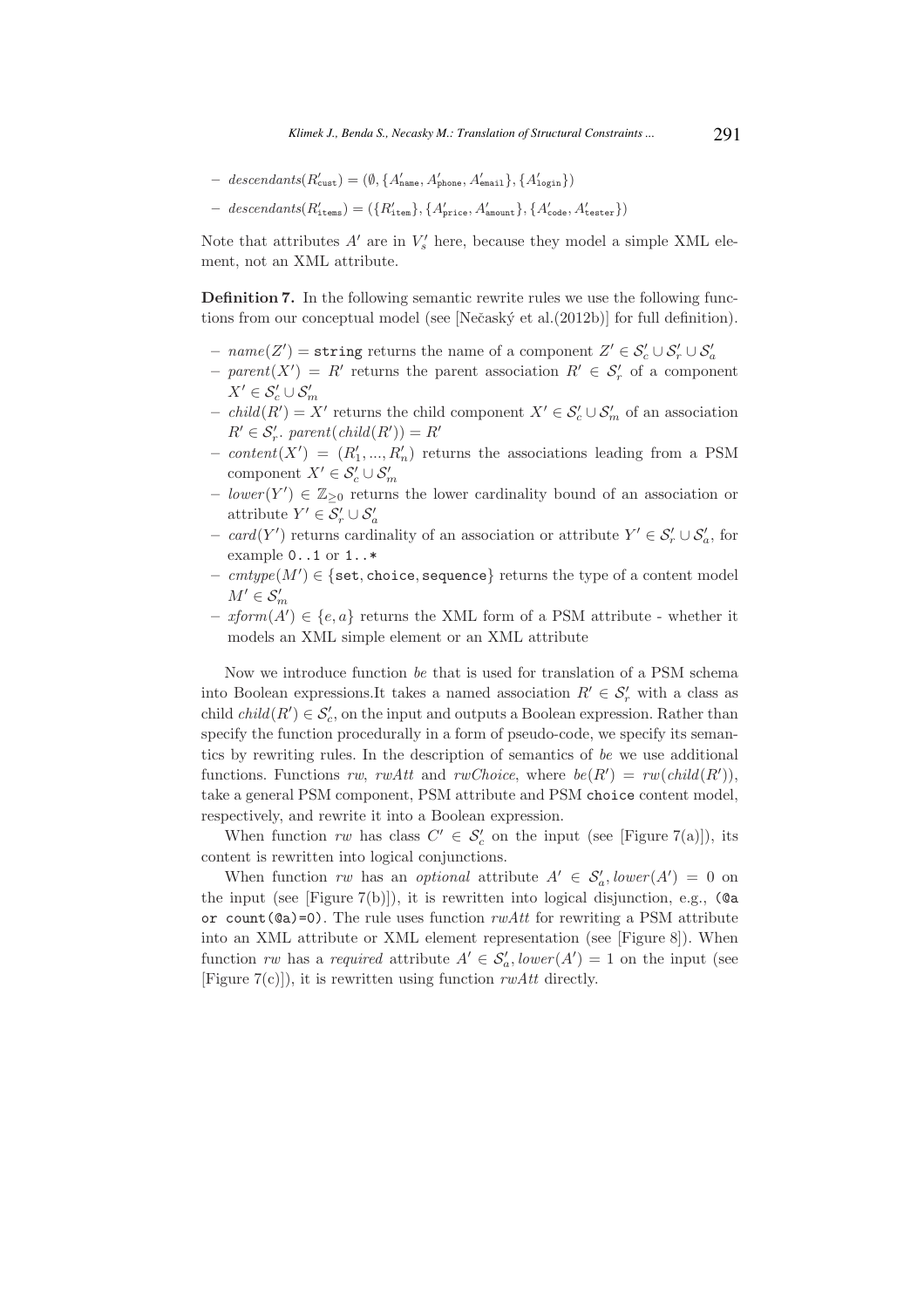- $-$  descendants $(R'_{\text{cust}}) = (\emptyset, \{A'_{\text{name}}, A'_{\text{phone}}, A'_{\text{email}}\}, \{A'_{\text{login}}\})$
- $-$  descendants $(R'_{\texttt{items}}) = (\lbrace R'_{\texttt{item}} \rbrace, \lbrace A'_{\texttt{price}}, A'_{\texttt{amount}} \rbrace, \lbrace A'_{\texttt{code}}, A'_{\texttt{tester}} \rbrace)$

Note that attributes  $A'$  are in  $V'_{s}$  here, because they model a simple XML element, not an XML attribute.

Definition 7. In the following semantic rewrite rules we use the following functions from our conceptual model (see [Nečaský et al. (2012b)] for full definition).

- −  $name(Z') = string$  returns the name of a component  $Z' \in S'_c \cup S'_r \cup S'_a$
- $-$  parent(X') = R' returns the parent association  $R' \in \mathcal{S}'_r$  of a component  $X' \in \mathcal{S}'_c \cup \mathcal{S}'_m$
- − child(R') = X' returns the child component  $X' \in \mathcal{S}'_c \cup \mathcal{S}'_m$  of an association  $R' \in \mathcal{S}'_r$ . parent $\left( \text{child}(R') \right) = R'$
- $content(X') = (R'_1, ..., R'_n)$  returns the associations leading from a PSM component  $X' \in \mathcal{S}'_c \cup \mathcal{S}'_m$
- $-$  lower (Y')  $\in \mathbb{Z}_{\geq 0}$  returns the lower cardinality bound of an association or attribute  $Y' \in \mathcal{S}'_r \cup \mathcal{S}'_a$
- − card(Y') returns cardinality of an association or attribute  $Y' \in \mathcal{S}'_r \cup \mathcal{S}'_a$ , for example 0..1 or 1..\*
- $\text{ } \textit{cmtype}(M') \in \{ \texttt{set}, \texttt{choice}, \texttt{sequence} \} \text{ returns the type of a content model } \}$  $M' \in \mathcal{S}'_m$
- $-$  *xform* $(A') \in \{e, a\}$  returns the XML form of a PSM attribute whether it models an XML simple element or an XML attribute

Now we introduce function be that is used for translation of a PSM schema into Boolean expressions.It takes a named association  $R' \in \mathcal{S}'_r$  with a class as child  $child(R') \in \mathcal{S}'_c$ , on the input and outputs a Boolean expression. Rather than specify the function procedurally in a form of pseudo-code, we specify its semantics by rewriting rules. In the description of semantics of be we use additional functions. Functions rw, rwAtt and rwChoice, where  $be(R') = rw(child(R'))$ , take a general PSM component, PSM attribute and PSM choice content model, respectively, and rewrite it into a Boolean expression.

When function rw has class  $C' \in \mathcal{S}'_c$  on the input (see [Figure 7(a)]), its content is rewritten into logical conjunctions.

When function rw has an optional attribute  $A' \in S'_a$ , lower $(A') = 0$  on the input (see [Figure 7(b)]), it is rewritten into logical disjunction, e.g.,  $(Qa)$ or count( $@a$ )=0). The rule uses function  $r w Att$  for rewriting a PSM attribute into an XML attribute or XML element representation (see [Figure 8]). When function rw has a required attribute  $A' \in \mathcal{S}'_a$ , lower $(A') = 1$  on the input (see [Figure  $7(c)$ ]), it is rewritten using function rwAtt directly.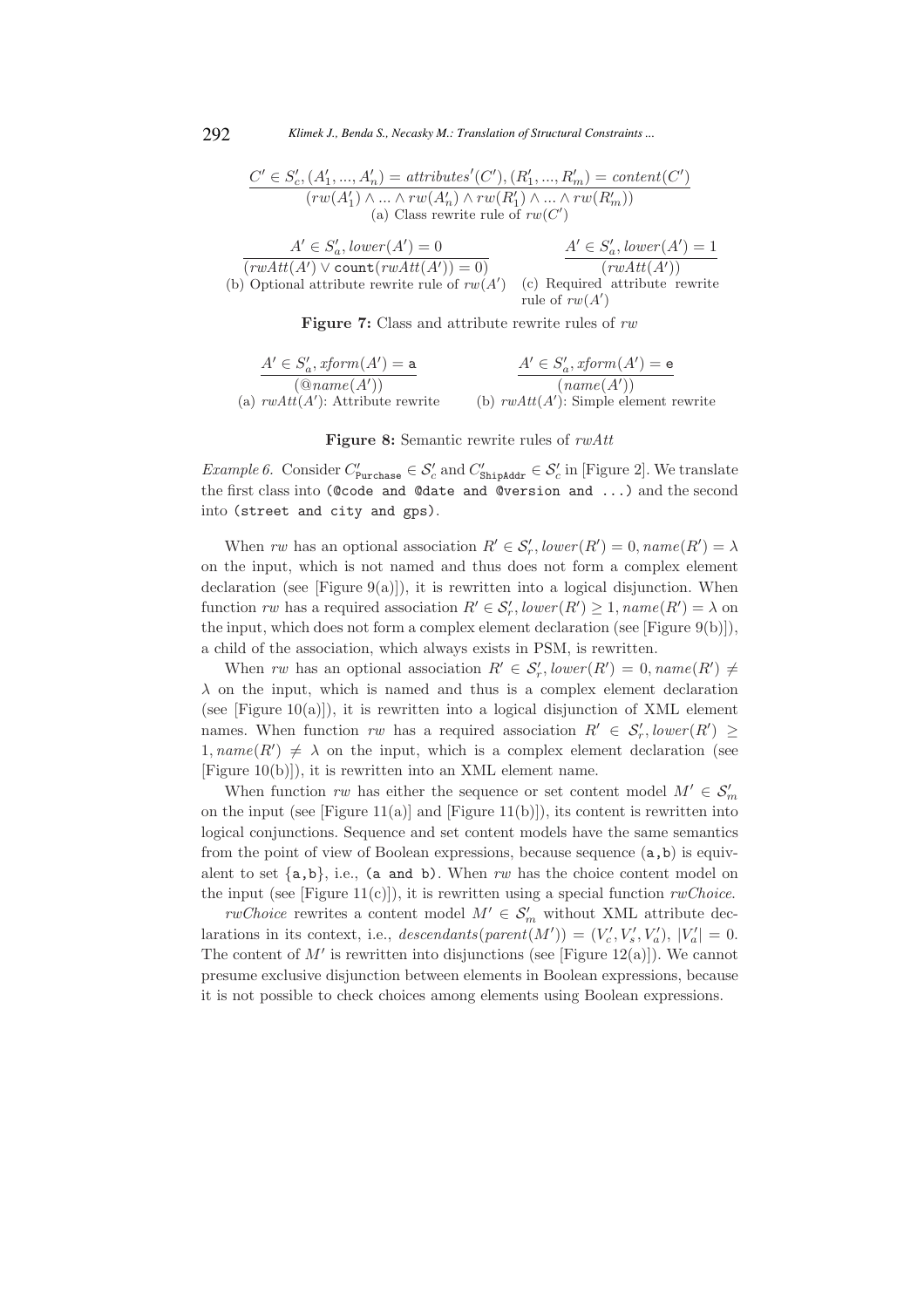292 *Klimek J., Benda S., Necasky M.: Translation of Structural Constraints ...*

$$
\frac{C' \in S'_c, (A'_1, ..., A'_n) = attributes'(C'), (R'_1, ..., R'_m) = content(C')}{(rw(A'_1) \land ... \land rw(A'_n) \land rw(R'_1) \land ... \land rw(R'_m))}
$$
\n(a) Class rewrite rule of  $rw(C')$ 

| $A' \in S'_a$ , lower $(A') = 0$                | $A' \in S'_a$ , lower $(A') = 1$ |
|-------------------------------------------------|----------------------------------|
| $(rwAtt(A') \vee count(rwAtt(A')) = 0)$         | (rwAtt(A'))                      |
| (b) Optional attribute rewrite rule of $rw(A')$ | (c) Required attribute rewrite   |
|                                                 | rule of $rw(A')$                 |

Figure 7: Class and attribute rewrite rules of rw

$$
A' \in S'_a, xform(A') = a
$$
  
\n
$$
(@name(A'))
$$
  
\n(a)  $rwAtt(A')$ : Attribute rewrite  
\n(b)  $rwAtt(A')$ : Simple element rewrite

Figure 8: Semantic rewrite rules of rwAtt

*Example 6.* Consider  $C'_{\text{Purchase}} \in \mathcal{S}'_c$  and  $C'_{\text{ShipAddr}} \in \mathcal{S}'_c$  in [Figure 2]. We translate the first class into (@code and @date and @version and ...) and the second into (street and city and gps).

When rw has an optional association  $R' \in S'_r$ ,  $lower(R') = 0$ ,  $name(R') = \lambda$ on the input, which is not named and thus does not form a complex element declaration (see [Figure  $9(a)$ ]), it is rewritten into a logical disjunction. When function rw has a required association  $R' \in \mathcal{S}'_r$ ,  $lower(R') \geq 1$ ,  $name(R') = \lambda$  on the input, which does not form a complex element declaration (see [Figure 9(b)]), a child of the association, which always exists in PSM, is rewritten.

When rw has an optional association  $R' \in S'_r$ , lower $(R') = 0$ , name $(R') \neq 0$  $\lambda$  on the input, which is named and thus is a complex element declaration (see [Figure 10(a)]), it is rewritten into a logical disjunction of XML element names. When function  $rw$  has a required association  $R' \in S'_r$ ,  $lower(R') \geq$  $1, name(R') \neq \lambda$  on the input, which is a complex element declaration (see [Figure 10(b)]), it is rewritten into an XML element name.

When function rw has either the sequence or set content model  $M' \in \mathcal{S}'_m$ on the input (see [Figure 11(a)] and [Figure 11(b)]), its content is rewritten into logical conjunctions. Sequence and set content models have the same semantics from the point of view of Boolean expressions, because sequence  $(a, b)$  is equivalent to set  $\{a,b\}$ , i.e., (a and b). When rw has the choice content model on the input (see [Figure 11(c)]), it is rewritten using a special function  $rwChoice$ .

*rwChoice* rewrites a content model  $M' \in \mathcal{S}'_m$  without XML attribute declarations in its context, i.e.,  $descendants(parent(M')) = (V'_c, V'_s, V'_a), |V'_a| = 0.$ The content of  $M'$  is rewritten into disjunctions (see [Figure 12(a)]). We cannot presume exclusive disjunction between elements in Boolean expressions, because it is not possible to check choices among elements using Boolean expressions.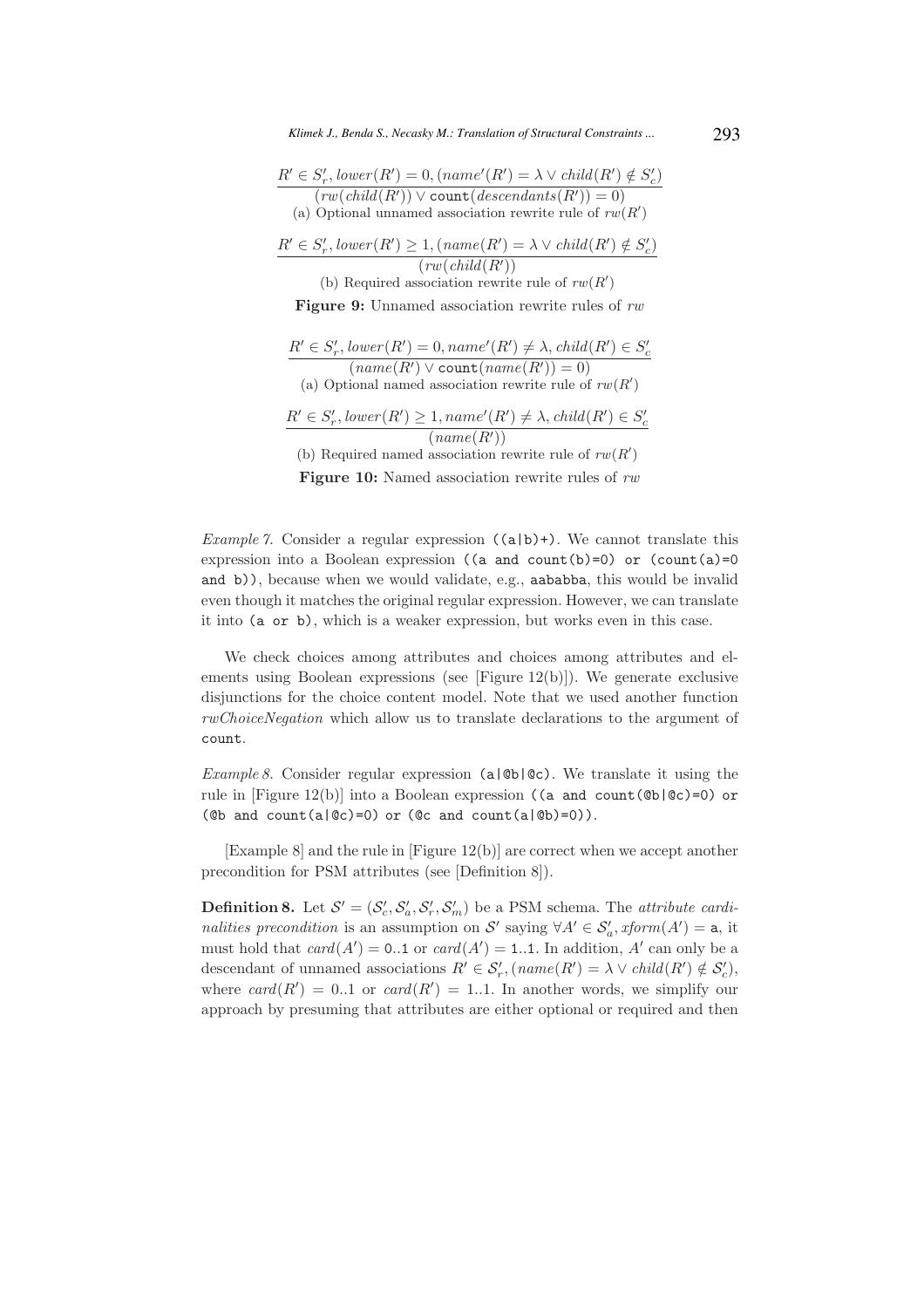$R' \in S'_r$ , lower $(R') = 0$ ,  $(name'(R') = \lambda \vee child(R') \notin S'_c)$  $(rw(child(R')) \vee count(descendants(R'))=0)$ (a) Optional unnamed association rewrite rule of  $rw(R')$ 

$$
\frac{R' \in S'_r, lower(R') \ge 1, (name(R') = \lambda \lor child(R') \notin S'_c)}{(rw(cchild(R'))}
$$

(b) Required association rewrite rule of  $rw(R')$ 

Figure 9: Unnamed association rewrite rules of rw

 $R' \in S'_r$ , lower $(R') = 0$ , name' $(R') \neq \lambda$ , child $(R') \in S'_c$  $(\textit{name}(R') \vee \text{count}(\textit{name}(R')) = 0)$ (a) Optional named association rewrite rule of  $rw(R')$  $R' \in S'_r$ , lower $(R') \geq 1$ , name' $(R') \neq \lambda$ , child $(R') \in S'_c$  $(name(R'))$ (b) Required named association rewrite rule of  $rw(R')$ 

**Figure 10:** Named association rewrite rules of rw

*Example 7.* Consider a regular expression  $((a|b)+)$ . We cannot translate this expression into a Boolean expression ((a and count(b)=0) or (count(a)=0 and b)), because when we would validate, e.g., aababba, this would be invalid even though it matches the original regular expression. However, we can translate it into (a or b), which is a weaker expression, but works even in this case.

We check choices among attributes and choices among attributes and elements using Boolean expressions (see [Figure 12(b)]). We generate exclusive disjunctions for the choice content model. Note that we used another function rwChoiceNegation which allow us to translate declarations to the argument of count.

Example 8. Consider regular expression (a| $\&$ b| $\&c$ ). We translate it using the rule in [Figure 12(b)] into a Boolean expression ((a and count(@b|@c)=0) or ( $\&$  and count(a| $\&$ c)=0) or ( $\&$  and count(a| $\&$ b)=0)).

[Example 8] and the rule in [Figure 12(b)] are correct when we accept another precondition for PSM attributes (see [Definition 8]).

**Definition 8.** Let  $\mathcal{S}' = (\mathcal{S}'_c, \mathcal{S}'_a, \mathcal{S}'_r, \mathcal{S}'_m)$  be a PSM schema. The *attribute cardi*nalities precondition is an assumption on S' saying  $\forall A' \in S'_a$ , xform $(A') = a$ , it must hold that  $card(A') = 0.1$  or  $card(A') = 1.1$ . In addition, A' can only be a descendant of unnamed associations  $R' \in \mathcal{S}'_r$ ,  $(name(R') = \lambda \vee child(R') \notin \mathcal{S}'_c)$ , where  $card(R') = 0.1$  or  $card(R') = 1.1$ . In another words, we simplify our approach by presuming that attributes are either optional or required and then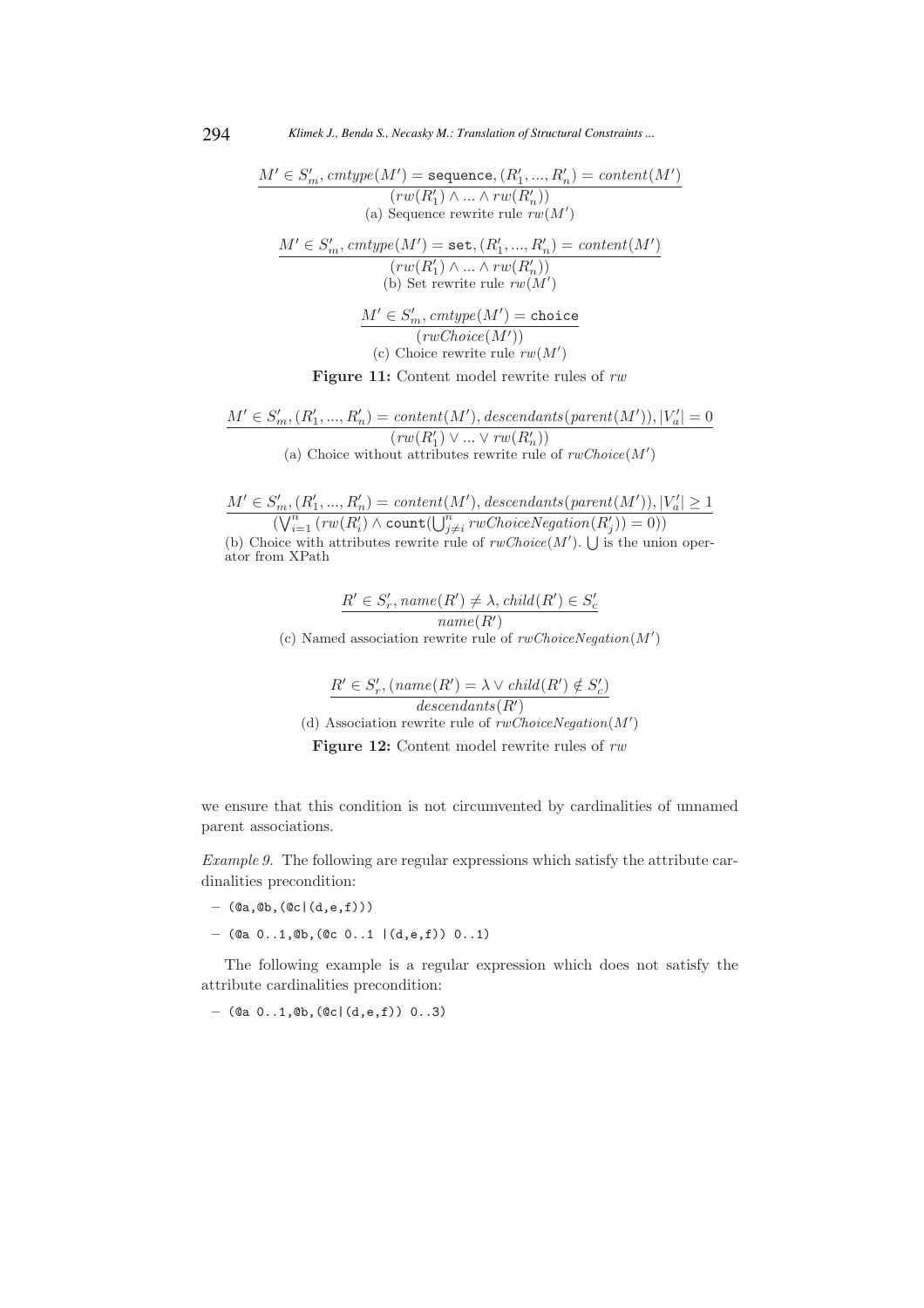$$
M' \in S'_m, \text{cntype}(M') = \text{sequence}, (R'_1, ..., R'_n) = \text{content}(M')
$$
\n
$$
(rw(R'_1) \land ... \land rw(R'_n))
$$
\n(a) Sequence rewrite rule  $rw(M')$ \n
$$
M' \in S'_m, \text{cnttype}(M') = \text{set}, (R'_1, ..., R'_n) = \text{content}(M')
$$
\n
$$
(rw(R'_1) \land ... \land rw(R'_n))
$$
\n(b) Set rewrite rule  $rw(M')$ \n
$$
M' \in S'_m, \text{cntype}(M') = \text{choice}
$$
\n
$$
(rwChoice(M'))
$$
\n(c) Choice rewrite rule  $rw(M')$ 

Figure 11: Content model rewrite rules of  $rw$ 

$$
\underline{M' \in S'_m, (R'_1, ..., R'_n) = content(M'), descendants(parent(M')), |V'_a| = 0)}\n \begin{array}{c}\n (rw(R'_1) \lor ... \lor rw(R'_n)) \\
 (a) Choice without attributes rewrite rule of  $rwChoice(M')$ \n\end{array}
$$

 $M' \in S'_m$ ,  $(R'_1, ..., R'_n) = content(M')$ , descendants(parent(M')),  $|V'_a| \ge 1$  $(\bigvee_{i=1}^{n} (rw(R'_{i}) \land count(\bigcup_{j \neq i}^{n} rwChoiceNegation(R'_{j})) = 0))$ (b) Choice with attributes rewrite rule of  $rwChoice(M')$ .  $\bigcup$  is the union operator from XPath

$$
\frac{R' \in S'_r, name(R') \neq \lambda, child(R') \in S'_c}{name(R')}
$$
 (c) Named association rewrite rule of  $rwChoiceNegation(M')$ 

$$
R' \in S'_r, (name(R') = \lambda \vee child(R') \notin S'_c)
$$
  
\n
$$
descendants(R')
$$
  
\n(d) Association rewrite rule of *rwChoiceNegation(M')*  
\nFigure 12: Content model rewrite rules of *rw*

we ensure that this condition is not circumvented by cardinalities of unnamed parent associations.

Example 9. The following are regular expressions which satisfy the attribute cardinalities precondition:

- $-$  (@a, @b, (@c|(d,e,f)))
- $-$  (@a 0..1, @b, (@c 0..1 | (d,e,f)) 0..1)

The following example is a regular expression which does not satisfy the attribute cardinalities precondition:

 $-$  (@a  $0..1,$  @b, (@c|(d,e,f))  $0..3)$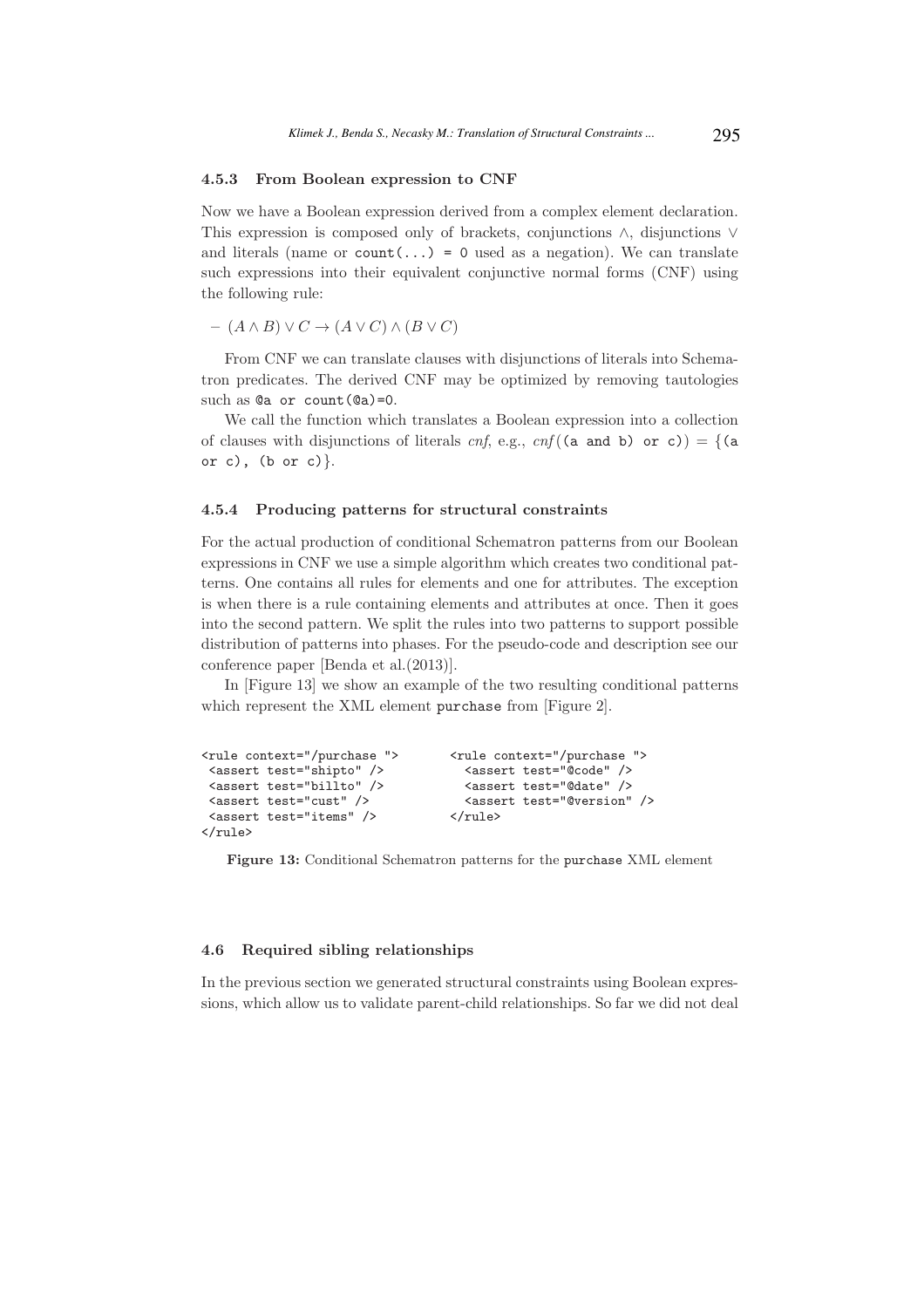#### 4.5.3 From Boolean expression to CNF

Now we have a Boolean expression derived from a complex element declaration. This expression is composed only of brackets, conjunctions ∧, disjunctions ∨ and literals (name or  $count(...)=0$  used as a negation). We can translate such expressions into their equivalent conjunctive normal forms (CNF) using the following rule:

 $(A \wedge B) \vee C \rightarrow (A \vee C) \wedge (B \vee C)$ 

From CNF we can translate clauses with disjunctions of literals into Schematron predicates. The derived CNF may be optimized by removing tautologies such as @a or count (@a)=0.

We call the function which translates a Boolean expression into a collection of clauses with disjunctions of literals cnf, e.g., cnf((a and b) or c)) = {(a or c),  $(b$  or c) $\}$ .

#### 4.5.4 Producing patterns for structural constraints

For the actual production of conditional Schematron patterns from our Boolean expressions in CNF we use a simple algorithm which creates two conditional patterns. One contains all rules for elements and one for attributes. The exception is when there is a rule containing elements and attributes at once. Then it goes into the second pattern. We split the rules into two patterns to support possible distribution of patterns into phases. For the pseudo-code and description see our conference paper [Benda et al.(2013)].

In [Figure 13] we show an example of the two resulting conditional patterns which represent the XML element purchase from [Figure 2].

```
\text{~xrule context="}'\text{/purchase} \text{~xrule context="}'\text{/purchase}<assert test="shipto" />
<assert test="@code" />
<assert test="billto" />
<assert test="@date" />
 <assert test="billto" /> <assert test="@date" />
 <assert test="cust" /> <assert test="@version" />
 <assert test="items" /> </rule>
</rule>
```
Figure 13: Conditional Schematron patterns for the purchase XML element

### 4.6 Required sibling relationships

In the previous section we generated structural constraints using Boolean expressions, which allow us to validate parent-child relationships. So far we did not deal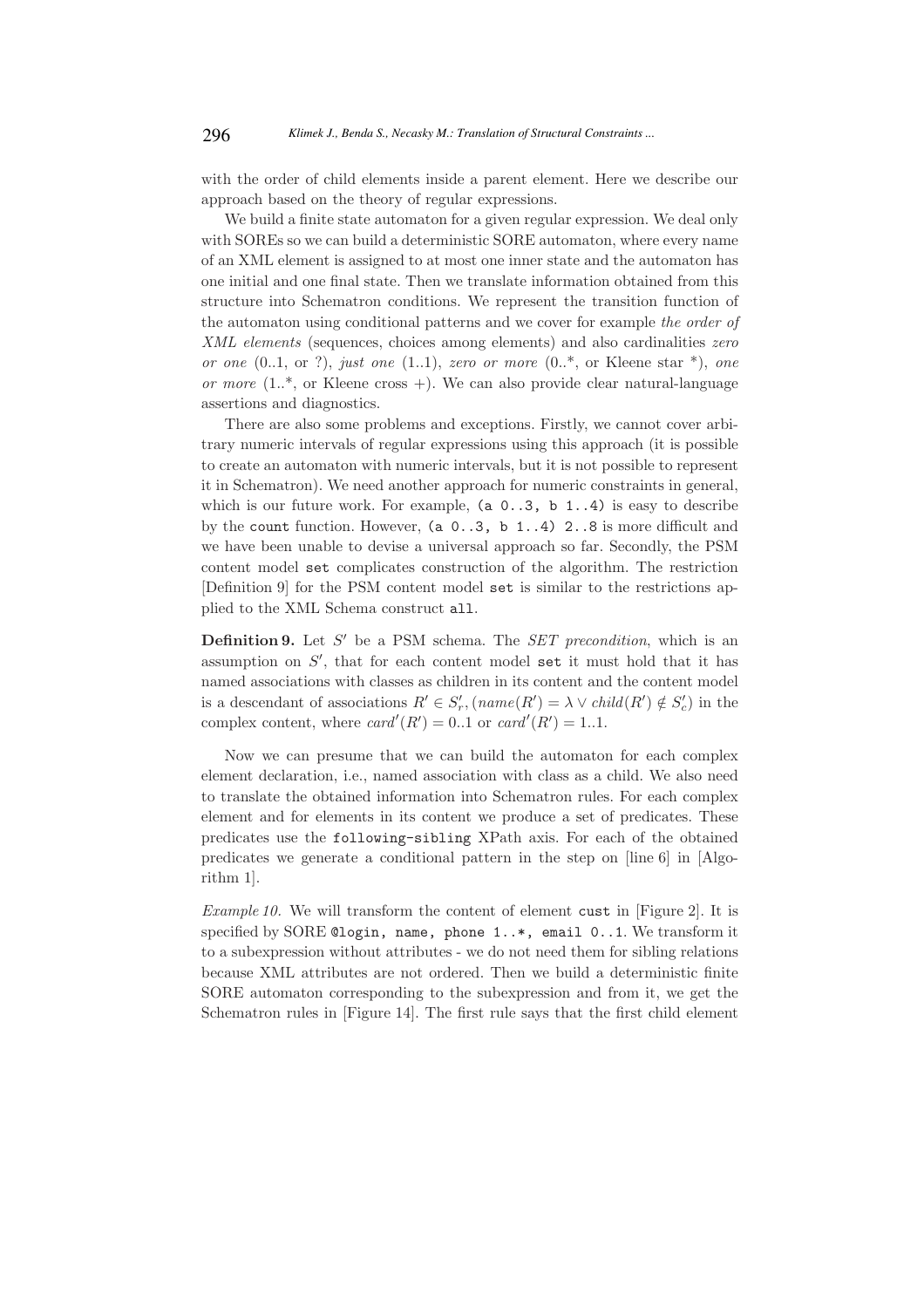with the order of child elements inside a parent element. Here we describe our approach based on the theory of regular expressions.

We build a finite state automaton for a given regular expression. We deal only with SOREs so we can build a deterministic SORE automaton, where every name of an XML element is assigned to at most one inner state and the automaton has one initial and one final state. Then we translate information obtained from this structure into Schematron conditions. We represent the transition function of the automaton using conditional patterns and we cover for example the order of XML elements (sequences, choices among elements) and also cardinalities *zero* or one  $(0.1, \text{ or } ?)$ , just one  $(1.1)$ , zero or more  $(0.^*, \text{ or }$  Kleene star  $^*$ ), one or more  $(1.^*,$  or Kleene cross  $+)$ . We can also provide clear natural-language assertions and diagnostics.

There are also some problems and exceptions. Firstly, we cannot cover arbitrary numeric intervals of regular expressions using this approach (it is possible to create an automaton with numeric intervals, but it is not possible to represent it in Schematron). We need another approach for numeric constraints in general, which is our future work. For example,  $(a \ 0.03, b \ 1.4)$  is easy to describe by the count function. However, (a 0..3, b 1..4) 2..8 is more difficult and we have been unable to devise a universal approach so far. Secondly, the PSM content model set complicates construction of the algorithm. The restriction [Definition 9] for the PSM content model set is similar to the restrictions applied to the XML Schema construct all.

**Definition 9.** Let  $S'$  be a PSM schema. The SET precondition, which is an assumption on  $S'$ , that for each content model set it must hold that it has named associations with classes as children in its content and the content model is a descendant of associations  $R' \in S'_r$ ,  $(name(R') = \lambda \vee child(R') \notin S'_c)$  in the complex content, where  $card'(R') = 0.1$  or  $card'(R') = 1.1$ .

Now we can presume that we can build the automaton for each complex element declaration, i.e., named association with class as a child. We also need to translate the obtained information into Schematron rules. For each complex element and for elements in its content we produce a set of predicates. These predicates use the following-sibling XPath axis. For each of the obtained predicates we generate a conditional pattern in the step on [line 6] in [Algorithm 1].

Example 10. We will transform the content of element cust in [Figure 2]. It is specified by SORE @login, name, phone 1..\*, email 0..1. We transform it to a subexpression without attributes - we do not need them for sibling relations because XML attributes are not ordered. Then we build a deterministic finite SORE automaton corresponding to the subexpression and from it, we get the Schematron rules in [Figure 14]. The first rule says that the first child element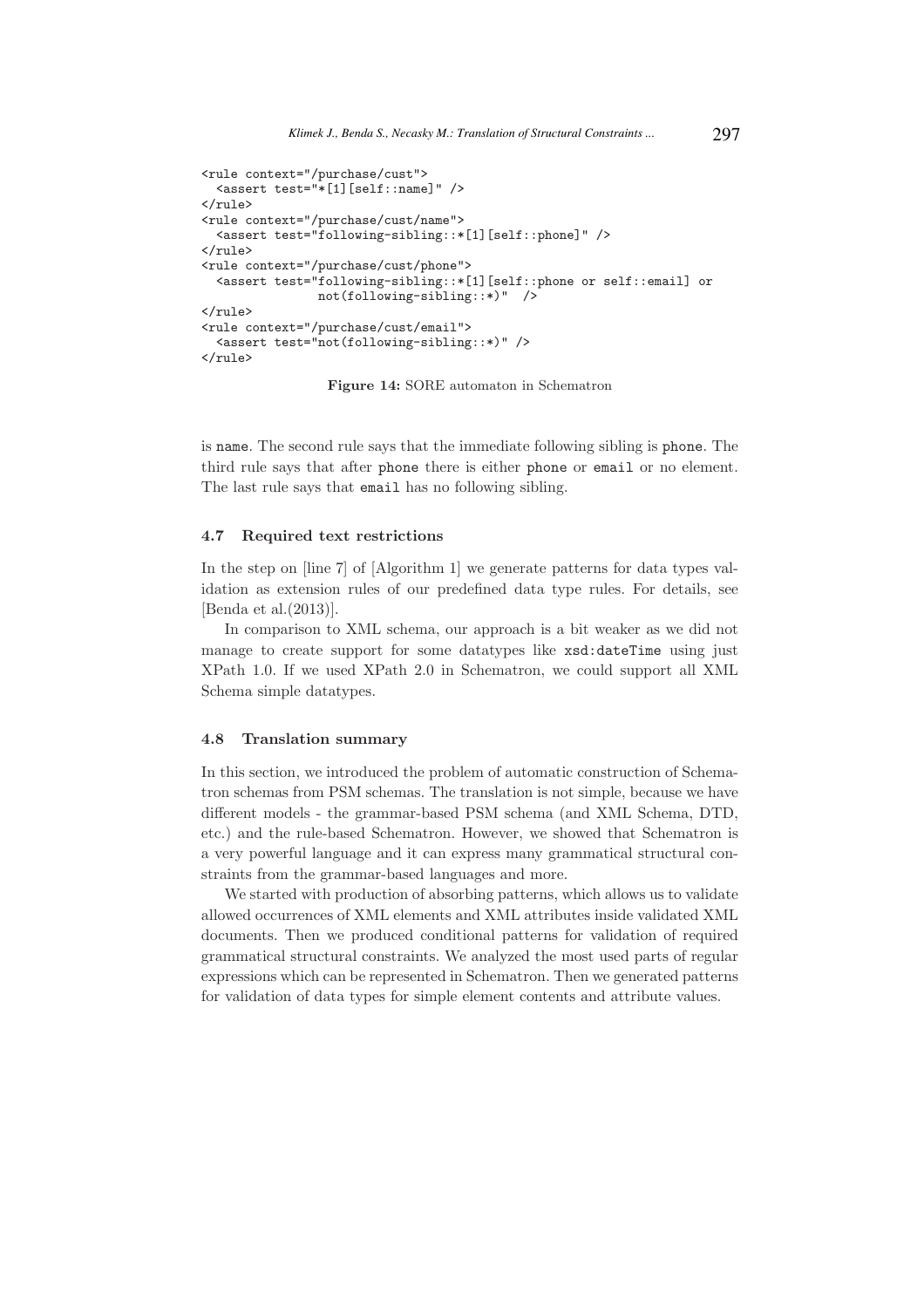```
<rule context="/purchase/cust">
  <assert test="*[1][self::name]" />
\langlerule\rangle<rule context="/purchase/cust/name">
  <assert test="following-sibling::*[1][self::phone]" />
\langlerule\rangle<rule context="/purchase/cust/phone">
  <assert test="following-sibling::*[1][self::phone or self::email] or
                 not(following-sibling::*)" />
\langle/rule>
<rule context="/purchase/cust/email">
  <assert test="not(following-sibling::*)" />
\langlerule>
```
Figure 14: SORE automaton in Schematron

is name. The second rule says that the immediate following sibling is phone. The third rule says that after phone there is either phone or email or no element. The last rule says that email has no following sibling.

#### 4.7 Required text restrictions

In the step on [line 7] of [Algorithm 1] we generate patterns for data types validation as extension rules of our predefined data type rules. For details, see [Benda et al.(2013)].

In comparison to XML schema, our approach is a bit weaker as we did not manage to create support for some datatypes like xsd:dateTime using just XPath 1.0. If we used XPath 2.0 in Schematron, we could support all XML Schema simple datatypes.

#### 4.8 Translation summary

In this section, we introduced the problem of automatic construction of Schematron schemas from PSM schemas. The translation is not simple, because we have different models - the grammar-based PSM schema (and XML Schema, DTD, etc.) and the rule-based Schematron. However, we showed that Schematron is a very powerful language and it can express many grammatical structural constraints from the grammar-based languages and more.

We started with production of absorbing patterns, which allows us to validate allowed occurrences of XML elements and XML attributes inside validated XML documents. Then we produced conditional patterns for validation of required grammatical structural constraints. We analyzed the most used parts of regular expressions which can be represented in Schematron. Then we generated patterns for validation of data types for simple element contents and attribute values.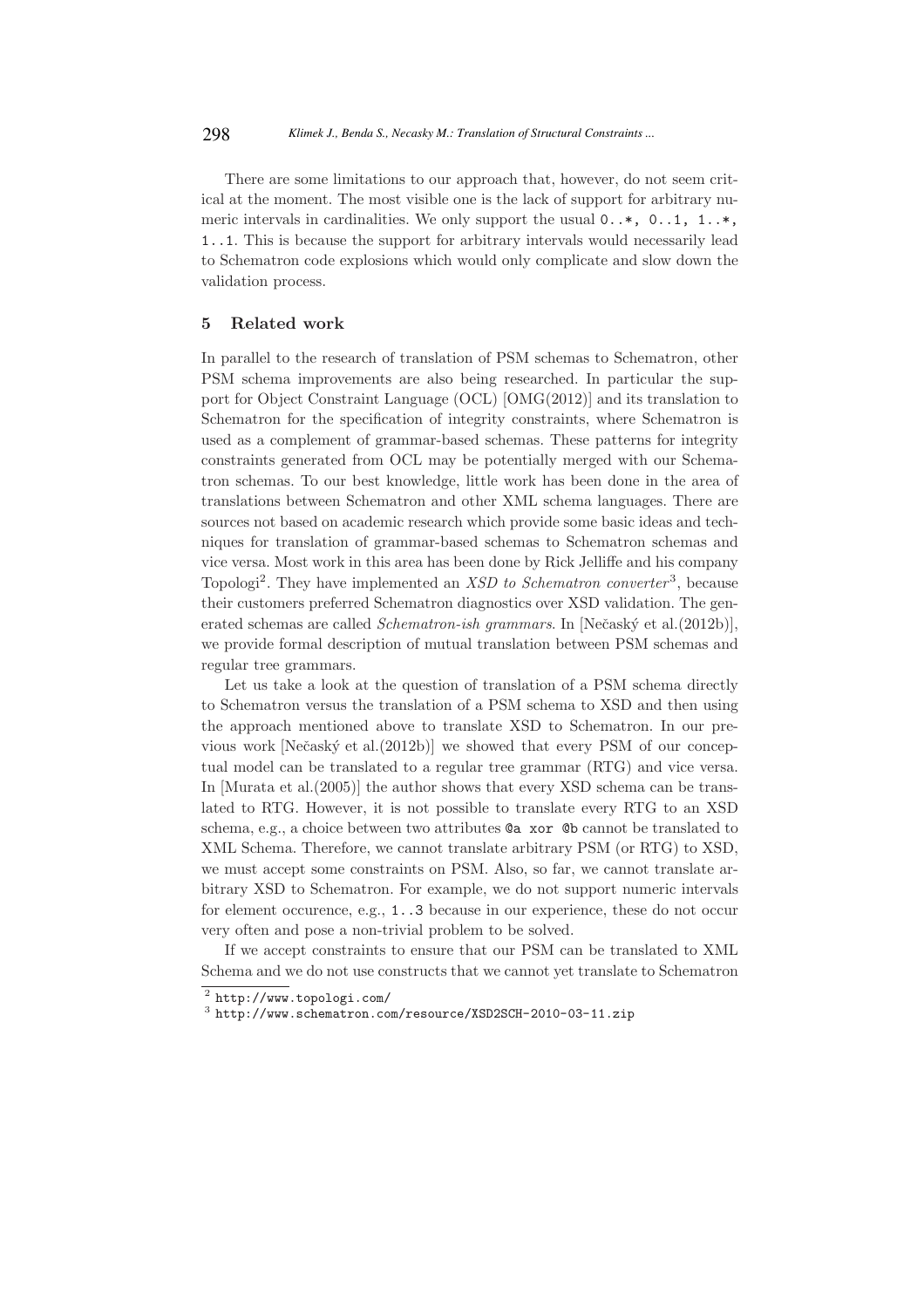There are some limitations to our approach that, however, do not seem critical at the moment. The most visible one is the lack of support for arbitrary numeric intervals in cardinalities. We only support the usual 0..\*, 0..1, 1..\*, 1..1. This is because the support for arbitrary intervals would necessarily lead to Schematron code explosions which would only complicate and slow down the validation process.

### 5 Related work

In parallel to the research of translation of PSM schemas to Schematron, other PSM schema improvements are also being researched. In particular the support for Object Constraint Language (OCL) [OMG(2012)] and its translation to Schematron for the specification of integrity constraints, where Schematron is used as a complement of grammar-based schemas. These patterns for integrity constraints generated from OCL may be potentially merged with our Schematron schemas. To our best knowledge, little work has been done in the area of translations between Schematron and other XML schema languages. There are sources not based on academic research which provide some basic ideas and techniques for translation of grammar-based schemas to Schematron schemas and vice versa. Most work in this area has been done by Rick Jelliffe and his company Topologi<sup>2</sup>. They have implemented an *XSD to Schematron converter*<sup>3</sup>, because their customers preferred Schematron diagnostics over XSD validation. The generated schemas are called *Schematron-ish grammars*. In [Nečaský et al.(2012b)], we provide formal description of mutual translation between PSM schemas and regular tree grammars.

Let us take a look at the question of translation of a PSM schema directly to Schematron versus the translation of a PSM schema to XSD and then using the approach mentioned above to translate XSD to Schematron. In our previous work [Nečaský et al.(2012b)] we showed that every PSM of our conceptual model can be translated to a regular tree grammar (RTG) and vice versa. In [Murata et al.(2005)] the author shows that every XSD schema can be translated to RTG. However, it is not possible to translate every RTG to an XSD schema, e.g., a choice between two attributes @a xor @b cannot be translated to XML Schema. Therefore, we cannot translate arbitrary PSM (or RTG) to XSD, we must accept some constraints on PSM. Also, so far, we cannot translate arbitrary XSD to Schematron. For example, we do not support numeric intervals for element occurence, e.g., 1..3 because in our experience, these do not occur very often and pose a non-trivial problem to be solved.

If we accept constraints to ensure that our PSM can be translated to XML Schema and we do not use constructs that we cannot yet translate to Schematron

 $^{2}$  http://www.topologi.com/

<sup>3</sup> http://www.schematron.com/resource/XSD2SCH-2010-03-11.zip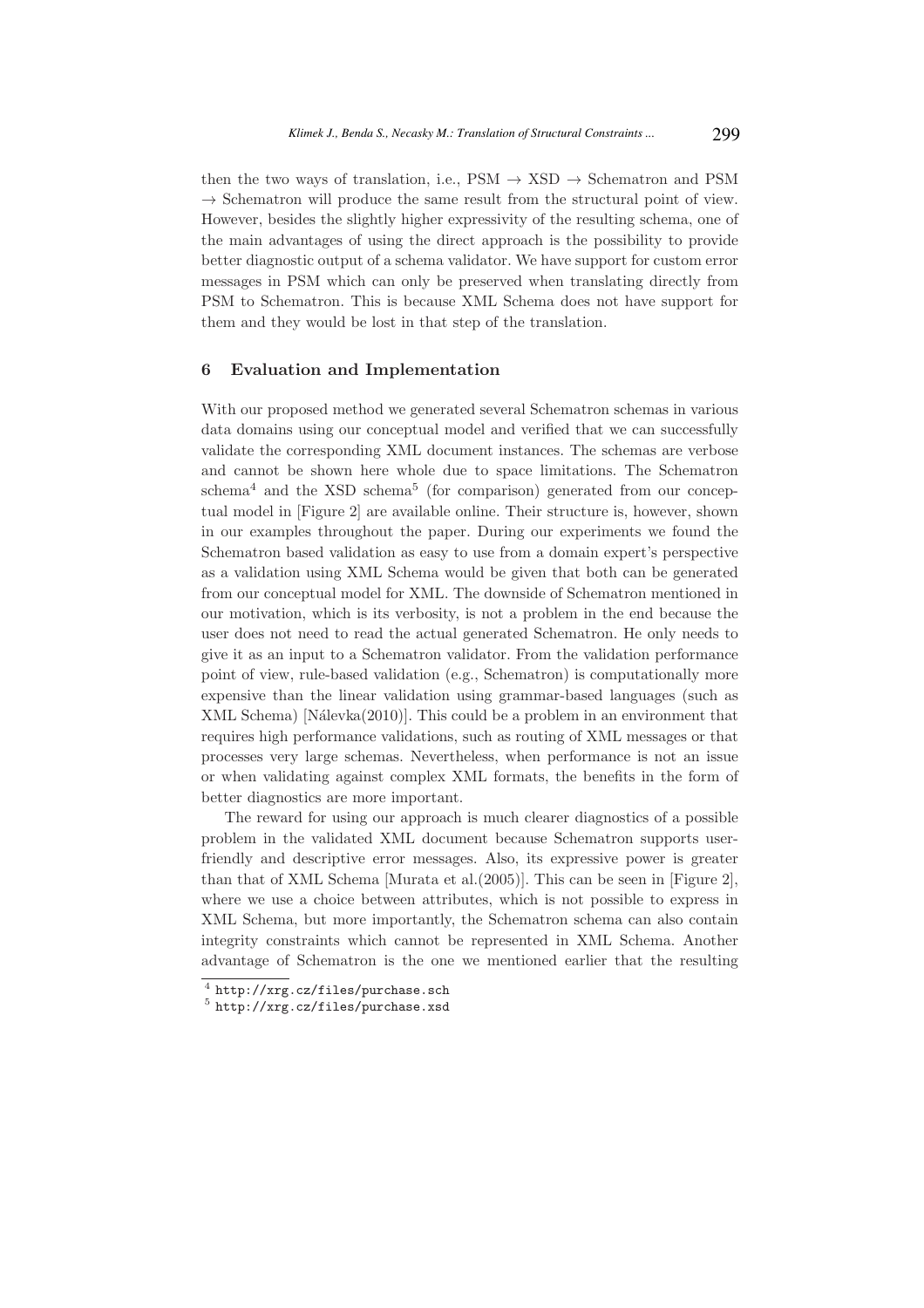then the two ways of translation, i.e.,  $PSM \rightarrow XSD \rightarrow Schematron$  and PSM  $\rightarrow$  Schematron will produce the same result from the structural point of view. However, besides the slightly higher expressivity of the resulting schema, one of the main advantages of using the direct approach is the possibility to provide better diagnostic output of a schema validator. We have support for custom error messages in PSM which can only be preserved when translating directly from PSM to Schematron. This is because XML Schema does not have support for them and they would be lost in that step of the translation.

#### 6 Evaluation and Implementation

With our proposed method we generated several Schematron schemas in various data domains using our conceptual model and verified that we can successfully validate the corresponding XML document instances. The schemas are verbose and cannot be shown here whole due to space limitations. The Schematron schema<sup>4</sup> and the XSD schema<sup>5</sup> (for comparison) generated from our conceptual model in [Figure 2] are available online. Their structure is, however, shown in our examples throughout the paper. During our experiments we found the Schematron based validation as easy to use from a domain expert's perspective as a validation using XML Schema would be given that both can be generated from our conceptual model for XML. The downside of Schematron mentioned in our motivation, which is its verbosity, is not a problem in the end because the user does not need to read the actual generated Schematron. He only needs to give it as an input to a Schematron validator. From the validation performance point of view, rule-based validation (e.g., Schematron) is computationally more expensive than the linear validation using grammar-based languages (such as XML Schema) [Nálevka $(2010)$ ]. This could be a problem in an environment that requires high performance validations, such as routing of XML messages or that processes very large schemas. Nevertheless, when performance is not an issue or when validating against complex XML formats, the benefits in the form of better diagnostics are more important.

The reward for using our approach is much clearer diagnostics of a possible problem in the validated XML document because Schematron supports userfriendly and descriptive error messages. Also, its expressive power is greater than that of XML Schema [Murata et al.(2005)]. This can be seen in [Figure 2], where we use a choice between attributes, which is not possible to express in XML Schema, but more importantly, the Schematron schema can also contain integrity constraints which cannot be represented in XML Schema. Another advantage of Schematron is the one we mentioned earlier that the resulting

<sup>4</sup> http://xrg.cz/files/purchase.sch

<sup>5</sup> http://xrg.cz/files/purchase.xsd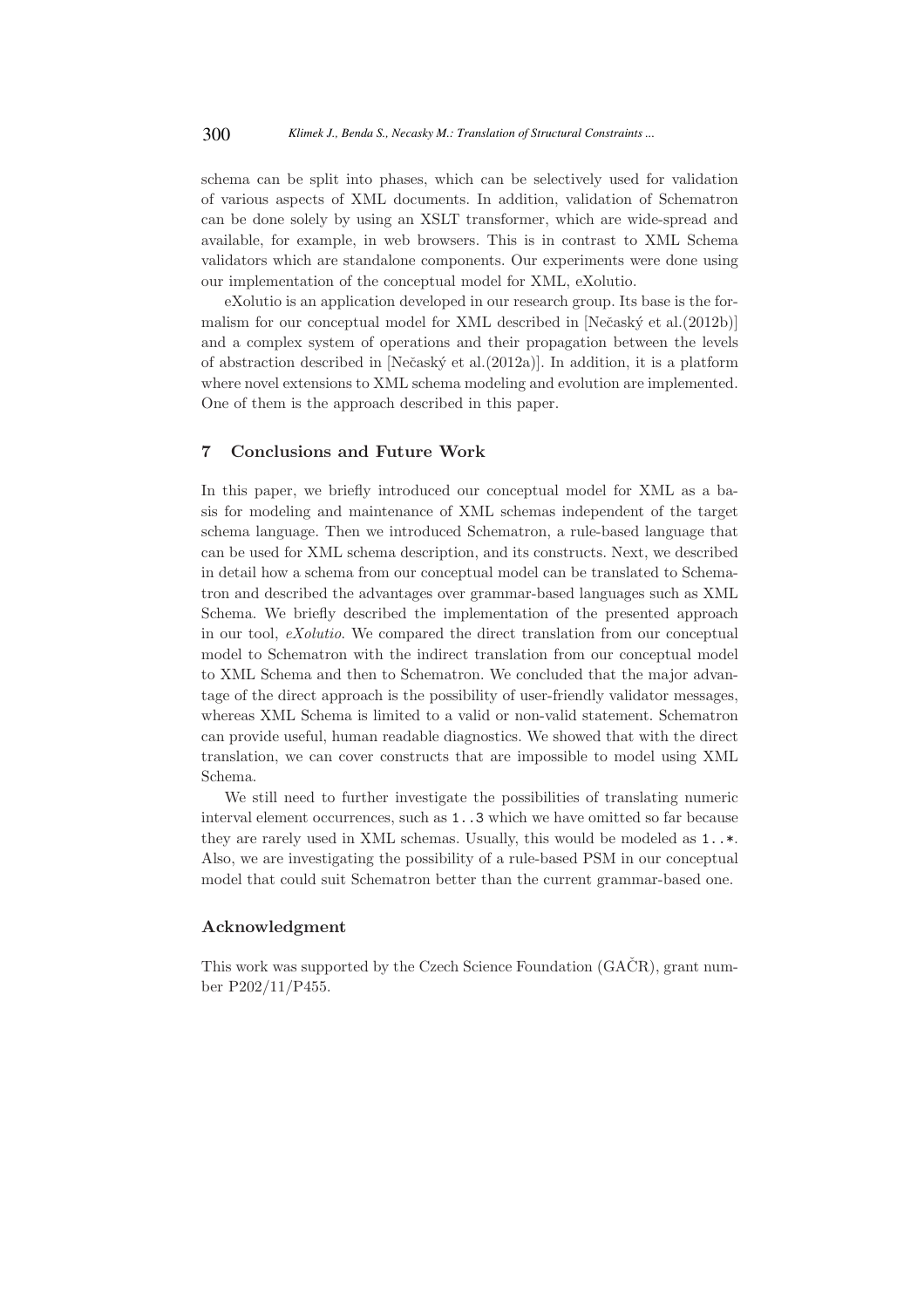schema can be split into phases, which can be selectively used for validation of various aspects of XML documents. In addition, validation of Schematron can be done solely by using an XSLT transformer, which are wide-spread and available, for example, in web browsers. This is in contrast to XML Schema validators which are standalone components. Our experiments were done using our implementation of the conceptual model for XML, eXolutio.

eXolutio is an application developed in our research group. Its base is the formalism for our conceptual model for XML described in  $N$ ečask $\acute{v}$  et al. $(2012b)$ ] and a complex system of operations and their propagation between the levels of abstraction described in [Neˇcask´y et al.(2012a)]. In addition, it is a platform where novel extensions to XML schema modeling and evolution are implemented. One of them is the approach described in this paper.

## 7 Conclusions and Future Work

In this paper, we briefly introduced our conceptual model for XML as a basis for modeling and maintenance of XML schemas independent of the target schema language. Then we introduced Schematron, a rule-based language that can be used for XML schema description, and its constructs. Next, we described in detail how a schema from our conceptual model can be translated to Schematron and described the advantages over grammar-based languages such as XML Schema. We briefly described the implementation of the presented approach in our tool, eXolutio. We compared the direct translation from our conceptual model to Schematron with the indirect translation from our conceptual model to XML Schema and then to Schematron. We concluded that the major advantage of the direct approach is the possibility of user-friendly validator messages, whereas XML Schema is limited to a valid or non-valid statement. Schematron can provide useful, human readable diagnostics. We showed that with the direct translation, we can cover constructs that are impossible to model using XML Schema.

We still need to further investigate the possibilities of translating numeric interval element occurrences, such as 1..3 which we have omitted so far because they are rarely used in XML schemas. Usually, this would be modeled as 1..\*. Also, we are investigating the possibility of a rule-based PSM in our conceptual model that could suit Schematron better than the current grammar-based one.

### Acknowledgment

This work was supported by the Czech Science Foundation (GACR), grant number P202/11/P455.